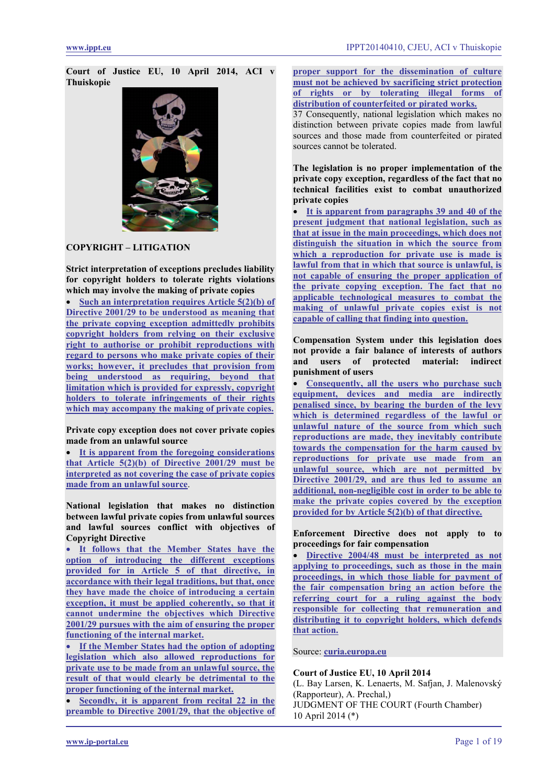**Court of Justice EU, 10 April 2014, ACI v Thuiskopie**



#### **COPYRIGHT – LITIGATION**

**Strict interpretation of exceptions precludes liability for copyright holders to tolerate rights violations which may involve the making of private copies**

• **[Such an interpretation requires Article 5\(2\)\(b\) of](#page-4-0)  [Directive 2001/29 to be understood as meaning that](#page-4-0)  [the private copying exception admittedly prohibits](#page-4-0)  [copyright holders from relying on their exclusive](#page-4-0)  [right to authorise or prohibit reproductions with](#page-4-0)  [regard to persons who make private copies of their](#page-4-0)  [works; however, it precludes that provision from](#page-4-0)  [being understood as requiring, beyond that](#page-4-0)  [limitation which is provided for expressly, copyright](#page-4-0)  [holders to tolerate infringements of their rights](#page-4-0)  [which may accompany the making of private copies.](#page-4-0)**

**Private copy exception does not cover private copies made from an unlawful source**

• **[It is apparent from the foregoing considerations](#page-5-0)  [that Article 5\(2\)\(b\) of Directive 2001/29 must be](#page-5-0)  [interpreted as not covering the case of private copies](#page-5-0)  [made from an unlawful source](#page-5-0)**.

**National legislation that makes no distinction between lawful private copies from unlawful sources and lawful sources conflict with objectives of Copyright Directive**

• **[It follows that the Member States have the](#page-4-1)  [option of introducing the different exceptions](#page-4-1)  [provided for in Article 5 of that directive, in](#page-4-1)  [accordance with their legal traditions, but that, once](#page-4-1)  [they have made the choice of introducing a certain](#page-4-1)  [exception, it must be applied coherently, so that it](#page-4-1)  [cannot undermine the objectives which Directive](#page-4-1)  [2001/29 pursues with the aim of ensuring the proper](#page-4-1)  [functioning of the internal market.](#page-4-1)**

If the Member States had the option of adopting **[legislation which also allowed reproductions for](#page-4-1)  [private use to be made from an unlawful source, the](#page-4-1)  [result of that would clearly be detrimental to the](#page-4-1)  [proper functioning of the internal market.](#page-4-1)**

• **[Secondly, it is apparent from recital 22 in the](#page-4-1)  [preamble to Directive 2001/29, that the objective of](#page-4-1)**  **[proper support for the dissemination of culture](#page-4-1)  [must not be achieved by sacrificing strict protection](#page-4-1)  [of rights or by tolerating illegal forms of](#page-4-1)  [distribution of counterfeited or pirated works.](#page-4-1)**

37 Consequently, national legislation which makes no distinction between private copies made from lawful sources and those made from counterfeited or pirated sources cannot be tolerated.

**The legislation is no proper implementation of the private copy exception, regardless of the fact that no technical facilities exist to combat unauthorized private copies**

• **[It is apparent from paragraphs 39 and 40 of the](#page-5-0)  [present judgment that national legislation, such as](#page-5-0)  [that at issue in the main proceedings, which does not](#page-5-0)  [distinguish the situation in which the source from](#page-5-0)  [which a reproduction for private use is made is](#page-5-0)  [lawful from that in which that source is unlawful, is](#page-5-0)  [not capable of ensuring the proper application of](#page-5-0)  [the private copying exception. The fact that no](#page-5-0)  [applicable technological measures to combat the](#page-5-0)  [making of unlawful private copies exist is not](#page-5-0)  [capable of calling that finding into question.](#page-5-0)**

**Compensation System under this legislation does not provide a fair balance of interests of authors**  users of protected material: **punishment of users**

• **[Consequently, all the users who purchase such](#page-6-0)  [equipment, devices and media are indirectly](#page-6-0)  [penalised since, by bearing the burden of the levy](#page-6-0)  [which is determined regardless of the lawful or](#page-6-0)  [unlawful nature of the source from which such](#page-6-0)  [reproductions are made, they inevitably contribute](#page-6-0)  [towards the compensation for the harm caused by](#page-6-0)  [reproductions for private use made from an](#page-6-0)  [unlawful source, which are not permitted by](#page-6-0)  [Directive 2001/29, and are thus led to assume an](#page-6-0)  [additional, non-negligible cost in order to be able to](#page-6-0)  [make the private copies covered by the exception](#page-6-0)  [provided for by Article 5\(2\)\(b\) of that directive.](#page-6-0)**

**Enforcement Directive does not apply to to proceedings for fair compensation**

• **[Directive 2004/48 must be interpreted as not](#page-6-1)  [applying to proceedings, such as those in the main](#page-6-1)  [proceedings, in which those liable for payment of](#page-6-1)  [the fair compensation bring an action before the](#page-6-1)  [referring court for a ruling against the body](#page-6-1)  [responsible for collecting that remuneration and](#page-6-1)  [distributing it to copyright holders, which defends](#page-6-1)  [that action.](#page-6-1)**

Source: **[curia.europa.eu](http://curia.europa.eu/juris/liste.jsf?language=en&jur=C,T,F&num=C-435/12&td=ALL)**

#### **Court of Justice EU, 10 April 2014**

(L. Bay Larsen, K. Lenaerts, M. Safjan, J. Malenovský (Rapporteur), A. Prechal,) JUDGMENT OF THE COURT (Fourth Chamber) 10 April 2014 (\*)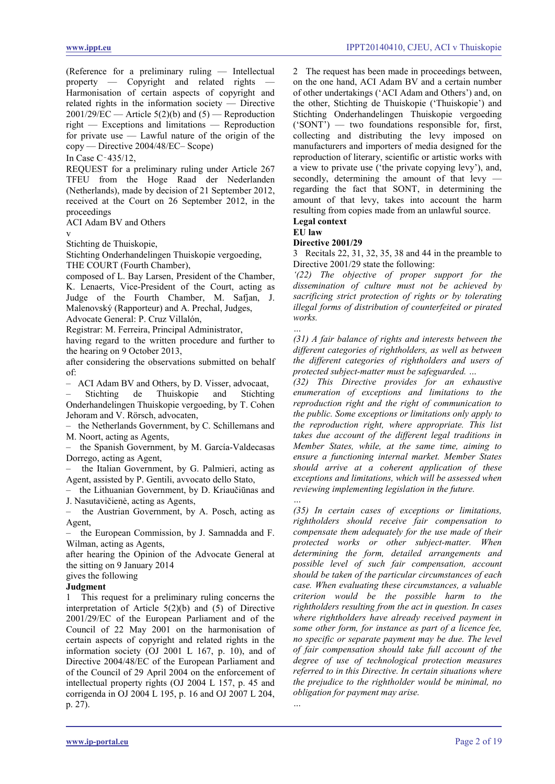(Reference for a preliminary ruling — Intellectual property — Copyright and related rights — Harmonisation of certain aspects of copyright and related rights in the information society — Directive  $2001/29/EC$  — Article 5(2)(b) and (5) — Reproduction right — Exceptions and limitations — Reproduction for private use — Lawful nature of the origin of the copy — Directive 2004/48/EC– Scope)

In Case C‑435/12,

REQUEST for a preliminary ruling under Article 267 TFEU from the Hoge Raad der Nederlanden (Netherlands), made by decision of 21 September 2012, received at the Court on 26 September 2012, in the proceedings

ACI Adam BV and Others

v

Stichting de Thuiskopie,

Stichting Onderhandelingen Thuiskopie vergoeding, THE COURT (Fourth Chamber),

composed of L. Bay Larsen, President of the Chamber, K. Lenaerts, Vice-President of the Court, acting as Judge of the Fourth Chamber, M. Safjan, J. Malenovský (Rapporteur) and A. Prechal, Judges,

Advocate General: P. Cruz Villalón,

Registrar: M. Ferreira, Principal Administrator,

having regard to the written procedure and further to the hearing on 9 October 2013,

after considering the observations submitted on behalf of:

– ACI Adam BV and Others, by D. Visser, advocaat,

– Stichting de Thuiskopie and Stichting Onderhandelingen Thuiskopie vergoeding, by T. Cohen Jehoram and V. Rörsch, advocaten,

– the Netherlands Government, by C. Schillemans and M. Noort, acting as Agents,

the Spanish Government, by M. García-Valdecasas Dorrego, acting as Agent,

– the Italian Government, by G. Palmieri, acting as Agent, assisted by P. Gentili, avvocato dello Stato,

– the Lithuanian Government, by D. Kriaučiūnas and J. Nasutavičienė, acting as Agents,

– the Austrian Government, by A. Posch, acting as Agent,

– the European Commission, by J. Samnadda and F. Wilman, acting as Agents,

after hearing the Opinion of the Advocate General at the sitting on 9 January 2014

gives the following

#### **Judgment**

1 This request for a preliminary ruling concerns the interpretation of Article 5(2)(b) and (5) of Directive 2001/29/EC of the European Parliament and of the Council of 22 May 2001 on the harmonisation of certain aspects of copyright and related rights in the information society (OJ 2001 L 167, p. 10), and of Directive 2004/48/EC of the European Parliament and of the Council of 29 April 2004 on the enforcement of intellectual property rights (OJ 2004 L 157, p. 45 and corrigenda in OJ 2004 L 195, p. 16 and OJ 2007 L 204, p. 27).

2 The request has been made in proceedings between, on the one hand, ACI Adam BV and a certain number of other undertakings ('ACI Adam and Others') and, on the other, Stichting de Thuiskopie ('Thuiskopie') and Stichting Onderhandelingen Thuiskopie vergoeding ('SONT') — two foundations responsible for, first, collecting and distributing the levy imposed on manufacturers and importers of media designed for the reproduction of literary, scientific or artistic works with a view to private use ('the private copying levy'), and, secondly, determining the amount of that levy regarding the fact that SONT, in determining the amount of that levy, takes into account the harm resulting from copies made from an unlawful source.

## **Legal context**

# **EU law**

**Directive 2001/29**

3 Recitals 22, 31, 32, 35, 38 and 44 in the preamble to Directive 2001/29 state the following:

*'(22) The objective of proper support for the dissemination of culture must not be achieved by sacrificing strict protection of rights or by tolerating illegal forms of distribution of counterfeited or pirated works.*

*… (31) A fair balance of rights and interests between the different categories of rightholders, as well as between the different categories of rightholders and users of protected subject-matter must be safeguarded. …*

*(32) This Directive provides for an exhaustive enumeration of exceptions and limitations to the reproduction right and the right of communication to the public. Some exceptions or limitations only apply to the reproduction right, where appropriate. This list takes due account of the different legal traditions in Member States, while, at the same time, aiming to ensure a functioning internal market. Member States should arrive at a coherent application of these exceptions and limitations, which will be assessed when reviewing implementing legislation in the future.*

*… (35) In certain cases of exceptions or limitations, rightholders should receive fair compensation to compensate them adequately for the use made of their protected works or other subject-matter. When determining the form, detailed arrangements and possible level of such fair compensation, account should be taken of the particular circumstances of each case. When evaluating these circumstances, a valuable criterion would be the possible harm to the rightholders resulting from the act in question. In cases where rightholders have already received payment in some other form, for instance as part of a licence fee, no specific or separate payment may be due. The level of fair compensation should take full account of the degree of use of technological protection measures referred to in this Directive. In certain situations where the prejudice to the rightholder would be minimal, no obligation for payment may arise.*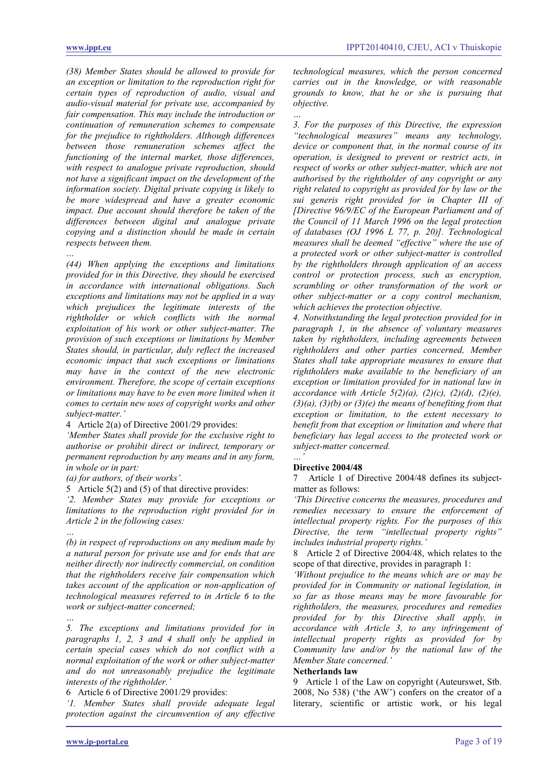*(38) Member States should be allowed to provide for an exception or limitation to the reproduction right for certain types of reproduction of audio, visual and audio-visual material for private use, accompanied by fair compensation. This may include the introduction or continuation of remuneration schemes to compensate for the prejudice to rightholders. Although differences between those remuneration schemes affect the functioning of the internal market, those differences, with respect to analogue private reproduction, should not have a significant impact on the development of the information society. Digital private copying is likely to be more widespread and have a greater economic impact. Due account should therefore be taken of the differences between digital and analogue private copying and a distinction should be made in certain respects between them.*

#### *…*

*(44) When applying the exceptions and limitations provided for in this Directive, they should be exercised in accordance with international obligations. Such exceptions and limitations may not be applied in a way which prejudices the legitimate interests of the rightholder or which conflicts with the normal exploitation of his work or other subject-matter. The provision of such exceptions or limitations by Member States should, in particular, duly reflect the increased economic impact that such exceptions or limitations may have in the context of the new electronic environment. Therefore, the scope of certain exceptions or limitations may have to be even more limited when it comes to certain new uses of copyright works and other subject-matter.'*

4 Article 2(a) of Directive 2001/29 provides:

*'Member States shall provide for the exclusive right to authorise or prohibit direct or indirect, temporary or permanent reproduction by any means and in any form, in whole or in part:*

*(a) for authors, of their works'.*

5 Article 5(2) and (5) of that directive provides:

*'2. Member States may provide for exceptions or limitations to the reproduction right provided for in Article 2 in the following cases:*

*… (b) in respect of reproductions on any medium made by a natural person for private use and for ends that are neither directly nor indirectly commercial, on condition that the rightholders receive fair compensation which takes account of the application or non-application of technological measures referred to in Article 6 to the work or subject-matter concerned;*

*5. The exceptions and limitations provided for in paragraphs 1, 2, 3 and 4 shall only be applied in certain special cases which do not conflict with a normal exploitation of the work or other subject-matter and do not unreasonably prejudice the legitimate interests of the rightholder.'*

6 Article 6 of Directive 2001/29 provides:

*'1. Member States shall provide adequate legal protection against the circumvention of any effective*

*technological measures, which the person concerned carries out in the knowledge, or with reasonable grounds to know, that he or she is pursuing that objective.*

*3. For the purposes of this Directive, the expression "technological measures" means any technology, device or component that, in the normal course of its operation, is designed to prevent or restrict acts, in respect of works or other subject-matter, which are not authorised by the rightholder of any copyright or any right related to copyright as provided for by law or the sui generis right provided for in Chapter III of [Directive 96/9/EC of the European Parliament and of the Council of 11 March 1996 on the legal protection of databases (OJ 1996 L 77, p. 20)]. Technological measures shall be deemed "effective" where the use of a protected work or other subject-matter is controlled by the rightholders through application of an access control or protection process, such as encryption, scrambling or other transformation of the work or other subject-matter or a copy control mechanism, which achieves the protection objective.*

*4. Notwithstanding the legal protection provided for in paragraph 1, in the absence of voluntary measures taken by rightholders, including agreements between rightholders and other parties concerned, Member States shall take appropriate measures to ensure that rightholders make available to the beneficiary of an exception or limitation provided for in national law in accordance with Article 5(2)(a), (2)(c), (2)(d), (2)(e), (3)(a), (3)(b) or (3)(e) the means of benefiting from that exception or limitation, to the extent necessary to benefit from that exception or limitation and where that beneficiary has legal access to the protected work or subject-matter concerned.*

#### **Directive 2004/48**

*…'*

*…*

7 Article 1 of Directive 2004/48 defines its subjectmatter as follows:

*'This Directive concerns the measures, procedures and remedies necessary to ensure the enforcement of intellectual property rights. For the purposes of this Directive, the term "intellectual property rights" includes industrial property rights.'*

8 Article 2 of Directive 2004/48, which relates to the scope of that directive, provides in paragraph 1:

*'Without prejudice to the means which are or may be provided for in Community or national legislation, in so far as those means may be more favourable for rightholders, the measures, procedures and remedies provided for by this Directive shall apply, in accordance with Article 3, to any infringement of intellectual property rights as provided for by Community law and/or by the national law of the Member State concerned.'*

#### **Netherlands law**

9 Article 1 of the Law on copyright (Auteurswet, Stb. 2008, No 538) ('the AW') confers on the creator of a literary, scientific or artistic work, or his legal

*…*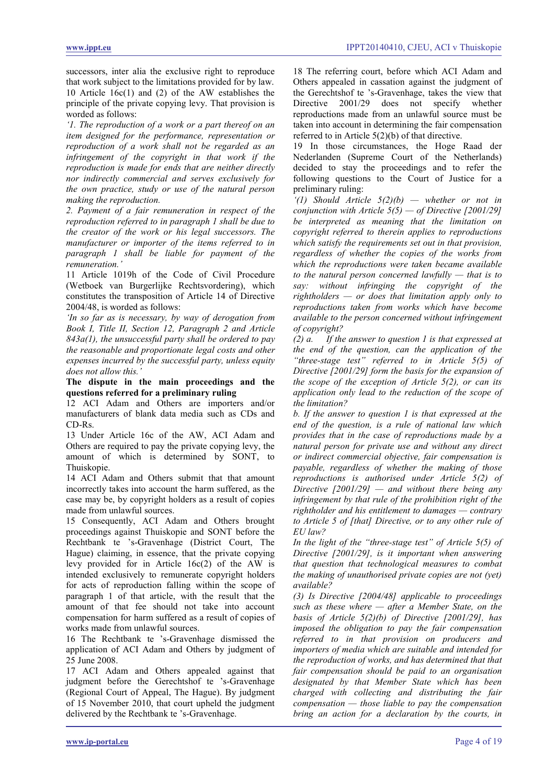successors, inter alia the exclusive right to reproduce that work subject to the limitations provided for by law. 10 Article 16c(1) and (2) of the AW establishes the principle of the private copying levy. That provision is worded as follows:

*'1. The reproduction of a work or a part thereof on an item designed for the performance, representation or reproduction of a work shall not be regarded as an infringement of the copyright in that work if the reproduction is made for ends that are neither directly nor indirectly commercial and serves exclusively for the own practice, study or use of the natural person making the reproduction.*

*2. Payment of a fair remuneration in respect of the reproduction referred to in paragraph 1 shall be due to the creator of the work or his legal successors. The manufacturer or importer of the items referred to in paragraph 1 shall be liable for payment of the remuneration.'*

11 Article 1019h of the Code of Civil Procedure (Wetboek van Burgerlijke Rechtsvordering), which constitutes the transposition of Article 14 of Directive 2004/48, is worded as follows:

*'In so far as is necessary, by way of derogation from Book I, Title II, Section 12, Paragraph 2 and Article 843a(1), the unsuccessful party shall be ordered to pay the reasonable and proportionate legal costs and other expenses incurred by the successful party, unless equity does not allow this.'*

**The dispute in the main proceedings and the questions referred for a preliminary ruling**

12 ACI Adam and Others are importers and/or manufacturers of blank data media such as CDs and CD-Rs.

13 Under Article 16c of the AW, ACI Adam and Others are required to pay the private copying levy, the amount of which is determined by SONT, to Thuiskopie.

14 ACI Adam and Others submit that that amount incorrectly takes into account the harm suffered, as the case may be, by copyright holders as a result of copies made from unlawful sources.

15 Consequently, ACI Adam and Others brought proceedings against Thuiskopie and SONT before the Rechtbank te 's-Gravenhage (District Court, The Hague) claiming, in essence, that the private copying levy provided for in Article 16c(2) of the AW is intended exclusively to remunerate copyright holders for acts of reproduction falling within the scope of paragraph 1 of that article, with the result that the amount of that fee should not take into account compensation for harm suffered as a result of copies of works made from unlawful sources.

16 The Rechtbank te 's-Gravenhage dismissed the application of ACI Adam and Others by judgment of 25 June 2008.

17 ACI Adam and Others appealed against that judgment before the Gerechtshof te 's-Gravenhage (Regional Court of Appeal, The Hague). By judgment of 15 November 2010, that court upheld the judgment delivered by the Rechtbank te 's-Gravenhage.

18 The referring court, before which ACI Adam and Others appealed in cassation against the judgment of the Gerechtshof te 's-Gravenhage, takes the view that Directive 2001/29 does not specify whether reproductions made from an unlawful source must be taken into account in determining the fair compensation referred to in Article 5(2)(b) of that directive.

19 In those circumstances, the Hoge Raad der Nederlanden (Supreme Court of the Netherlands) decided to stay the proceedings and to refer the following questions to the Court of Justice for a preliminary ruling:

*'(1) Should Article 5(2)(b) — whether or not in conjunction with Article 5(5) — of Directive [2001/29] be interpreted as meaning that the limitation on copyright referred to therein applies to reproductions which satisfy the requirements set out in that provision, regardless of whether the copies of the works from which the reproductions were taken became available to the natural person concerned lawfully — that is to say: without infringing the copyright of the rightholders — or does that limitation apply only to reproductions taken from works which have become available to the person concerned without infringement of copyright?*

*(2) a. If the answer to question 1 is that expressed at the end of the question, can the application of the "three-stage test" referred to in Article 5(5) of Directive [2001/29] form the basis for the expansion of the scope of the exception of Article 5(2), or can its application only lead to the reduction of the scope of the limitation?*

*b. If the answer to question 1 is that expressed at the end of the question, is a rule of national law which provides that in the case of reproductions made by a natural person for private use and without any direct or indirect commercial objective, fair compensation is payable, regardless of whether the making of those reproductions is authorised under Article 5(2) of Directive [2001/29] — and without there being any infringement by that rule of the prohibition right of the rightholder and his entitlement to damages — contrary to Article 5 of [that] Directive, or to any other rule of EU law?*

*In the light of the "three-stage test" of Article 5(5) of Directive [2001/29], is it important when answering that question that technological measures to combat the making of unauthorised private copies are not (yet) available?*

*(3) Is Directive [2004/48] applicable to proceedings such as these where — after a Member State, on the basis of Article 5(2)(b) of Directive [2001/29], has imposed the obligation to pay the fair compensation referred to in that provision on producers and importers of media which are suitable and intended for the reproduction of works, and has determined that that fair compensation should be paid to an organisation designated by that Member State which has been charged with collecting and distributing the fair compensation — those liable to pay the compensation bring an action for a declaration by the courts, in*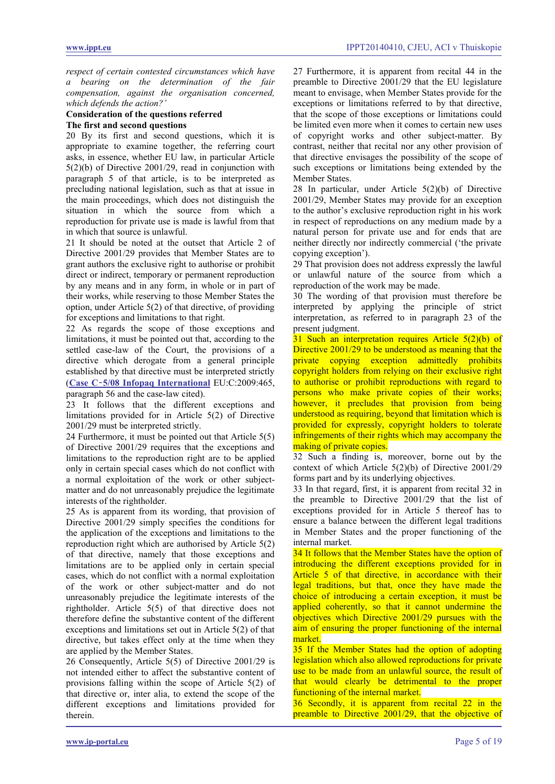*respect of certain contested circumstances which have a bearing on the determination of the fair compensation, against the organisation concerned, which defends the action?'*

## **Consideration of the questions referred**

#### **The first and second questions**

20 By its first and second questions, which it is appropriate to examine together, the referring court asks, in essence, whether EU law, in particular Article 5(2)(b) of Directive 2001/29, read in conjunction with paragraph 5 of that article, is to be interpreted as precluding national legislation, such as that at issue in the main proceedings, which does not distinguish the situation in which the source from which a reproduction for private use is made is lawful from that in which that source is unlawful.

21 It should be noted at the outset that Article 2 of Directive 2001/29 provides that Member States are to grant authors the exclusive right to authorise or prohibit direct or indirect, temporary or permanent reproduction by any means and in any form, in whole or in part of their works, while reserving to those Member States the option, under Article 5(2) of that directive, of providing for exceptions and limitations to that right.

22 As regards the scope of those exceptions and limitations, it must be pointed out that, according to the settled case-law of the Court, the provisions of a directive which derogate from a general principle established by that directive must be interpreted strictly (**Case C**‑**5/08 Infopaq [International](http://www.ippt.eu/files/2009/IPPT20090716_ECJ_Infopaq_v_DDF.pdf)** EU:C:2009:465, paragraph 56 and the case-law cited).

23 It follows that the different exceptions and limitations provided for in Article 5(2) of Directive 2001/29 must be interpreted strictly.

24 Furthermore, it must be pointed out that Article 5(5) of Directive 2001/29 requires that the exceptions and limitations to the reproduction right are to be applied only in certain special cases which do not conflict with a normal exploitation of the work or other subjectmatter and do not unreasonably prejudice the legitimate interests of the rightholder.

25 As is apparent from its wording, that provision of Directive 2001/29 simply specifies the conditions for the application of the exceptions and limitations to the reproduction right which are authorised by Article 5(2) of that directive, namely that those exceptions and limitations are to be applied only in certain special cases, which do not conflict with a normal exploitation of the work or other subject-matter and do not unreasonably prejudice the legitimate interests of the rightholder. Article 5(5) of that directive does not therefore define the substantive content of the different exceptions and limitations set out in Article 5(2) of that directive, but takes effect only at the time when they are applied by the Member States.

26 Consequently, Article 5(5) of Directive 2001/29 is not intended either to affect the substantive content of provisions falling within the scope of Article 5(2) of that directive or, inter alia, to extend the scope of the different exceptions and limitations provided for therein.

27 Furthermore, it is apparent from recital 44 in the preamble to Directive 2001/29 that the EU legislature meant to envisage, when Member States provide for the exceptions or limitations referred to by that directive, that the scope of those exceptions or limitations could be limited even more when it comes to certain new uses of copyright works and other subject-matter. By contrast, neither that recital nor any other provision of that directive envisages the possibility of the scope of such exceptions or limitations being extended by the Member States.

28 In particular, under Article 5(2)(b) of Directive 2001/29, Member States may provide for an exception to the author's exclusive reproduction right in his work in respect of reproductions on any medium made by a natural person for private use and for ends that are neither directly nor indirectly commercial ('the private copying exception').

29 That provision does not address expressly the lawful or unlawful nature of the source from which a reproduction of the work may be made.

30 The wording of that provision must therefore be interpreted by applying the principle of strict interpretation, as referred to in paragraph 23 of the present judgment.

<span id="page-4-0"></span>31 Such an interpretation requires Article 5(2)(b) of Directive 2001/29 to be understood as meaning that the private copying exception admittedly prohibits copyright holders from relying on their exclusive right to authorise or prohibit reproductions with regard to persons who make private copies of their works; however, it precludes that provision from being understood as requiring, beyond that limitation which is provided for expressly, copyright holders to tolerate infringements of their rights which may accompany the making of private copies.

32 Such a finding is, moreover, borne out by the context of which Article 5(2)(b) of Directive 2001/29 forms part and by its underlying objectives.

33 In that regard, first, it is apparent from recital 32 in the preamble to Directive 2001/29 that the list of exceptions provided for in Article 5 thereof has to ensure a balance between the different legal traditions in Member States and the proper functioning of the internal market.

<span id="page-4-1"></span>34 It follows that the Member States have the option of introducing the different exceptions provided for in Article 5 of that directive, in accordance with their legal traditions, but that, once they have made the choice of introducing a certain exception, it must be applied coherently, so that it cannot undermine the objectives which Directive 2001/29 pursues with the aim of ensuring the proper functioning of the internal market.

35 If the Member States had the option of adopting legislation which also allowed reproductions for private use to be made from an unlawful source, the result of that would clearly be detrimental to the proper functioning of the internal market.

36 Secondly, it is apparent from recital 22 in the preamble to Directive 2001/29, that the objective of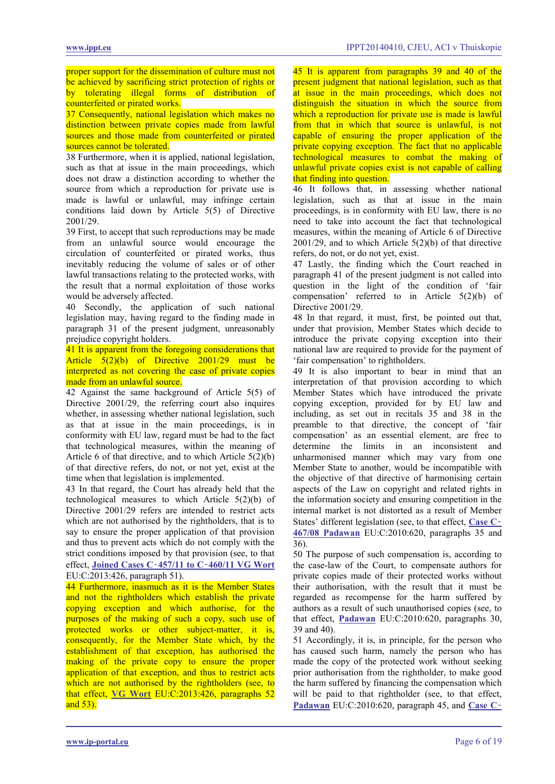proper support for the dissemination of culture must not be achieved by sacrificing strict protection of rights or by tolerating illegal forms of distribution of counterfeited or pirated works.

37 Consequently, national legislation which makes no distinction between private copies made from lawful sources and those made from counterfeited or pirated sources cannot be tolerated.

38 Furthermore, when it is applied, national legislation, such as that at issue in the main proceedings, which does not draw a distinction according to whether the source from which a reproduction for private use is made is lawful or unlawful, may infringe certain conditions laid down by Article 5(5) of Directive 2001/29.

39 First, to accept that such reproductions may be made from an unlawful source would encourage the circulation of counterfeited or pirated works, thus inevitably reducing the volume of sales or of other lawful transactions relating to the protected works, with the result that a normal exploitation of those works would be adversely affected.

40 Secondly, the application of such national legislation may, having regard to the finding made in paragraph 31 of the present judgment, unreasonably prejudice copyright holders.

<span id="page-5-0"></span>41 It is apparent from the foregoing considerations that Article 5(2)(b) of Directive 2001/29 must be interpreted as not covering the case of private copies made from an unlawful source.

42 Against the same background of Article 5(5) of Directive 2001/29, the referring court also inquires whether, in assessing whether national legislation, such as that at issue in the main proceedings, is in conformity with EU law, regard must be had to the fact that technological measures, within the meaning of Article 6 of that directive, and to which Article 5(2)(b) of that directive refers, do not, or not yet, exist at the time when that legislation is implemented.

43 In that regard, the Court has already held that the technological measures to which Article 5(2)(b) of Directive 2001/29 refers are intended to restrict acts which are not authorised by the rightholders, that is to say to ensure the proper application of that provision and thus to prevent acts which do not comply with the strict conditions imposed by that provision (see, to that effect, **[Joined](http://www.ippt.eu/files/2013/IPPT20130627_ECJ_VG_Wort.pdf) Cases C**‑**457/11 to C**‑**460/11 VG Wort** EU:C:2013:426, paragraph 51).

44 Furthermore, inasmuch as it is the Member States and not the rightholders which establish the private copying exception and which authorise, for the purposes of the making of such a copy, such use of protected works or other subject-matter, it is, consequently, for the Member State which, by the establishment of that exception, has authorised the making of the private copy to ensure the proper application of that exception, and thus to restrict acts which are not authorised by the rightholders (see, to that effect, **VG [Wort](http://www.ippt.eu/files/2013/IPPT20130627_ECJ_VG_Wort.pdf)** EU:C:2013:426, paragraphs 52 and 53).

45 It is apparent from paragraphs 39 and 40 of the present judgment that national legislation, such as that at issue in the main proceedings, which does not distinguish the situation in which the source from which a reproduction for private use is made is lawful from that in which that source is unlawful, is not capable of ensuring the proper application of the private copying exception. The fact that no applicable technological measures to combat the making of unlawful private copies exist is not capable of calling that finding into question.

46 It follows that, in assessing whether national legislation, such as that at issue in the main proceedings, is in conformity with EU law, there is no need to take into account the fact that technological measures, within the meaning of Article 6 of Directive  $2001/29$ , and to which Article  $5(2)(b)$  of that directive refers, do not, or do not yet, exist.

47 Lastly, the finding which the Court reached in paragraph 41 of the present judgment is not called into question in the light of the condition of 'fair compensation' referred to in Article 5(2)(b) of Directive 2001/29.

48 In that regard, it must, first, be pointed out that, under that provision, Member States which decide to introduce the private copying exception into their national law are required to provide for the payment of 'fair compensation' to rightholders.

49 It is also important to bear in mind that an interpretation of that provision according to which Member States which have introduced the private copying exception, provided for by EU law and including, as set out in recitals 35 and 38 in the preamble to that directive, the concept of 'fair compensation' as an essential element, are free to determine the limits in an inconsistent and unharmonised manner which may vary from one Member State to another, would be incompatible with the objective of that directive of harmonising certain aspects of the Law on copyright and related rights in the information society and ensuring competition in the internal market is not distorted as a result of Member States' different legislation (see, to that effect, **[Case](http://www.ippt.eu/files/2013/IPPT20130627_ECJ_VG_Wort.pdf) C**‑ **467/08 [Padawan](http://www.ippt.eu/files/2013/IPPT20130627_ECJ_VG_Wort.pdf)** EU:C:2010:620, paragraphs 35 and 36).

50 The purpose of such compensation is, according to the case-law of the Court, to compensate authors for private copies made of their protected works without their authorisation, with the result that it must be regarded as recompense for the harm suffered by authors as a result of such unauthorised copies (see, to that effect, **[Padawan](http://www.ippt.eu/files/2013/IPPT20130627_ECJ_VG_Wort.pdf)** EU:C:2010:620, paragraphs 30, 39 and 40).

51 Accordingly, it is, in principle, for the person who has caused such harm, namely the person who has made the copy of the protected work without seeking prior authorisation from the rightholder, to make good the harm suffered by financing the compensation which will be paid to that rightholder (see, to that effect, **[Padawan](http://www.ippt.eu/files/2013/IPPT20130627_ECJ_VG_Wort.pdf)** EU:C:2010:620, paragraph 45, and **[Case](http://www.ippt.eu/files/2011/IPPT20110616_ECJ_Thuiskopie_v_Opus.pdf) C**‑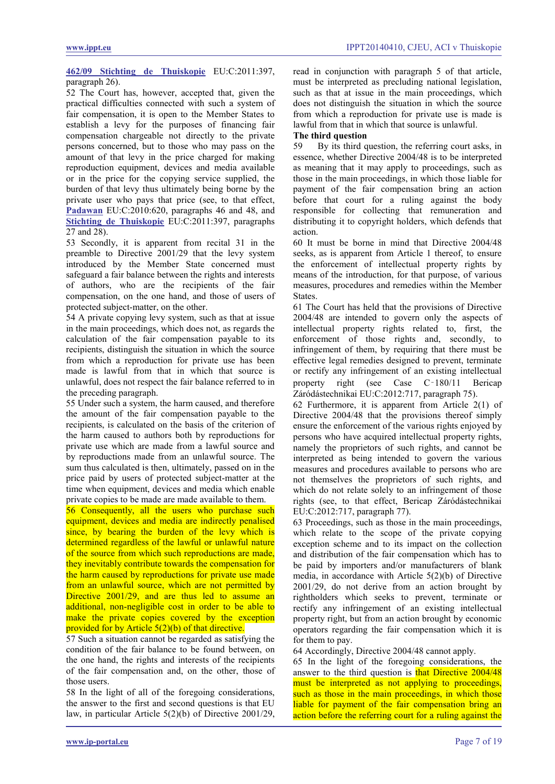#### **462/09 Stichting de [Thuiskopie](http://www.ippt.eu/files/2011/IPPT20110616_ECJ_Thuiskopie_v_Opus.pdf)** EU:C:2011:397, paragraph 26).

52 The Court has, however, accepted that, given the practical difficulties connected with such a system of fair compensation, it is open to the Member States to establish a levy for the purposes of financing fair compensation chargeable not directly to the private persons concerned, but to those who may pass on the amount of that levy in the price charged for making reproduction equipment, devices and media available or in the price for the copying service supplied, the burden of that levy thus ultimately being borne by the private user who pays that price (see, to that effect, **[Padawan](http://www.ippt.eu/files/2013/IPPT20130627_ECJ_VG_Wort.pdf)** EU:C:2010:620, paragraphs 46 and 48, and **Stichting de [Thuiskopie](http://www.ippt.eu/files/2011/IPPT20110616_ECJ_Thuiskopie_v_Opus.pdf)** EU:C:2011:397, paragraphs 27 and 28).

53 Secondly, it is apparent from recital 31 in the preamble to Directive 2001/29 that the levy system introduced by the Member State concerned must safeguard a fair balance between the rights and interests of authors, who are the recipients of the fair compensation, on the one hand, and those of users of protected subject-matter, on the other.

54 A private copying levy system, such as that at issue in the main proceedings, which does not, as regards the calculation of the fair compensation payable to its recipients, distinguish the situation in which the source from which a reproduction for private use has been made is lawful from that in which that source is unlawful, does not respect the fair balance referred to in the preceding paragraph.

55 Under such a system, the harm caused, and therefore the amount of the fair compensation payable to the recipients, is calculated on the basis of the criterion of the harm caused to authors both by reproductions for private use which are made from a lawful source and by reproductions made from an unlawful source. The sum thus calculated is then, ultimately, passed on in the price paid by users of protected subject-matter at the time when equipment, devices and media which enable private copies to be made are made available to them.

<span id="page-6-0"></span>56 Consequently, all the users who purchase such equipment, devices and media are indirectly penalised since, by bearing the burden of the levy which is determined regardless of the lawful or unlawful nature of the source from which such reproductions are made, they inevitably contribute towards the compensation for the harm caused by reproductions for private use made from an unlawful source, which are not permitted by Directive 2001/29, and are thus led to assume an additional, non-negligible cost in order to be able to make the private copies covered by the exception provided for by Article 5(2)(b) of that directive.

57 Such a situation cannot be regarded as satisfying the condition of the fair balance to be found between, on the one hand, the rights and interests of the recipients of the fair compensation and, on the other, those of those users.

58 In the light of all of the foregoing considerations, the answer to the first and second questions is that EU law, in particular Article 5(2)(b) of Directive 2001/29, read in conjunction with paragraph 5 of that article, must be interpreted as precluding national legislation, such as that at issue in the main proceedings, which does not distinguish the situation in which the source from which a reproduction for private use is made is lawful from that in which that source is unlawful.

# **The third question**<br>59 By its third a

59 By its third question, the referring court asks, in essence, whether Directive 2004/48 is to be interpreted as meaning that it may apply to proceedings, such as those in the main proceedings, in which those liable for payment of the fair compensation bring an action before that court for a ruling against the body responsible for collecting that remuneration and distributing it to copyright holders, which defends that action.

60 It must be borne in mind that Directive 2004/48 seeks, as is apparent from Article 1 thereof, to ensure the enforcement of intellectual property rights by means of the introduction, for that purpose, of various measures, procedures and remedies within the Member States.

61 The Court has held that the provisions of Directive 2004/48 are intended to govern only the aspects of intellectual property rights related to, first, the enforcement of those rights and, secondly, to infringement of them, by requiring that there must be effective legal remedies designed to prevent, terminate or rectify any infringement of an existing intellectual property right (see Case C‑180/11 Bericap Záródástechnikai EU:C:2012:717, paragraph 75).

62 Furthermore, it is apparent from Article 2(1) of Directive 2004/48 that the provisions thereof simply ensure the enforcement of the various rights enjoyed by persons who have acquired intellectual property rights, namely the proprietors of such rights, and cannot be interpreted as being intended to govern the various measures and procedures available to persons who are not themselves the proprietors of such rights, and which do not relate solely to an infringement of those rights (see, to that effect, Bericap Záródástechnikai EU:C:2012:717, paragraph 77).

63 Proceedings, such as those in the main proceedings, which relate to the scope of the private copying exception scheme and to its impact on the collection and distribution of the fair compensation which has to be paid by importers and/or manufacturers of blank media, in accordance with Article 5(2)(b) of Directive 2001/29, do not derive from an action brought by rightholders which seeks to prevent, terminate or rectify any infringement of an existing intellectual property right, but from an action brought by economic operators regarding the fair compensation which it is for them to pay.

64 Accordingly, Directive 2004/48 cannot apply.

<span id="page-6-1"></span>65 In the light of the foregoing considerations, the answer to the third question is that Directive 2004/48 must be interpreted as not applying to proceedings, such as those in the main proceedings, in which those liable for payment of the fair compensation bring an action before the referring court for a ruling against the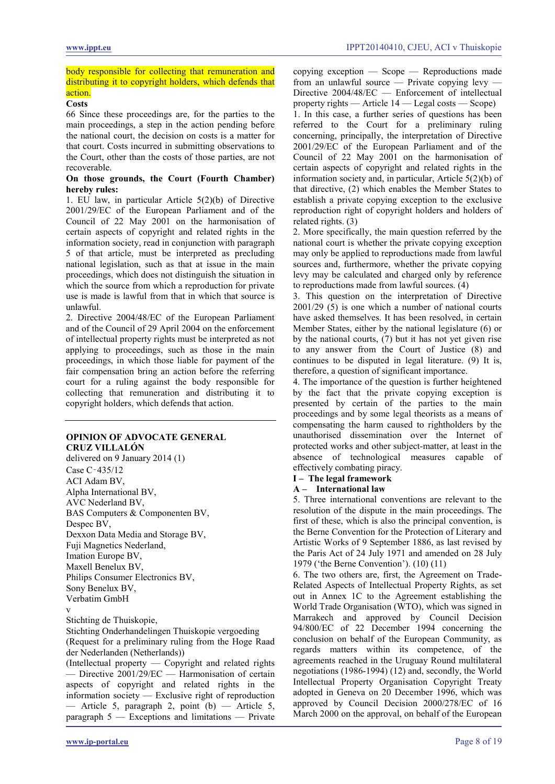body responsible for collecting that remuneration and distributing it to copyright holders, which defends that action.

## **Costs**

66 Since these proceedings are, for the parties to the main proceedings, a step in the action pending before the national court, the decision on costs is a matter for that court. Costs incurred in submitting observations to the Court, other than the costs of those parties, are not recoverable.

## **On those grounds, the Court (Fourth Chamber) hereby rules:**

1. EU law, in particular Article 5(2)(b) of Directive 2001/29/EC of the European Parliament and of the Council of 22 May 2001 on the harmonisation of certain aspects of copyright and related rights in the information society, read in conjunction with paragraph 5 of that article, must be interpreted as precluding national legislation, such as that at issue in the main proceedings, which does not distinguish the situation in which the source from which a reproduction for private use is made is lawful from that in which that source is unlawful.

2. Directive 2004/48/EC of the European Parliament and of the Council of 29 April 2004 on the enforcement of intellectual property rights must be interpreted as not applying to proceedings, such as those in the main proceedings, in which those liable for payment of the fair compensation bring an action before the referring court for a ruling against the body responsible for collecting that remuneration and distributing it to copyright holders, which defends that action.

## **OPINION OF ADVOCATE GENERAL CRUZ VILLALÓN**

delivered on 9 January 2014 (1) Case C‑435/12 ACI Adam BV, Alpha International BV, AVC Nederland BV, BAS Computers & Componenten BV, Despec BV, Dexxon Data Media and Storage BV, Fuji Magnetics Nederland, Imation Europe BV, Maxell Benelux BV, Philips Consumer Electronics BV, Sony Benelux BV, Verbatim GmbH v Stichting de Thuiskopie, Stichting Onderhandelingen Thuiskopie vergoeding

(Request for a preliminary ruling from the Hoge Raad der Nederlanden (Netherlands))

(Intellectual property — Copyright and related rights — Directive 2001/29/EC — Harmonisation of certain aspects of copyright and related rights in the information society — Exclusive right of reproduction — Article 5, paragraph 2, point (b) — Article 5, paragraph 5 — Exceptions and limitations — Private

copying exception — Scope — Reproductions made from an unlawful source — Private copying levy Directive 2004/48/EC — Enforcement of intellectual property rights — Article 14 — Legal costs — Scope) 1. In this case, a further series of questions has been referred to the Court for a preliminary ruling concerning, principally, the interpretation of Directive 2001/29/EC of the European Parliament and of the Council of 22 May 2001 on the harmonisation of certain aspects of copyright and related rights in the information society and, in particular, Article 5(2)(b) of that directive, (2) which enables the Member States to establish a private copying exception to the exclusive reproduction right of copyright holders and holders of related rights. (3)

2. More specifically, the main question referred by the national court is whether the private copying exception may only be applied to reproductions made from lawful sources and, furthermore, whether the private copying levy may be calculated and charged only by reference to reproductions made from lawful sources. (4)

3. This question on the interpretation of Directive 2001/29 (5) is one which a number of national courts have asked themselves. It has been resolved, in certain Member States, either by the national legislature (6) or by the national courts, (7) but it has not yet given rise to any answer from the Court of Justice (8) and continues to be disputed in legal literature. (9) It is, therefore, a question of significant importance.

4. The importance of the question is further heightened by the fact that the private copying exception is presented by certain of the parties to the main proceedings and by some legal theorists as a means of compensating the harm caused to rightholders by the unauthorised dissemination over the Internet of protected works and other subject-matter, at least in the absence of technological measures capable of effectively combating piracy.

## **I – The legal framework**

## **A – International law**

5. Three international conventions are relevant to the resolution of the dispute in the main proceedings. The first of these, which is also the principal convention, is the Berne Convention for the Protection of Literary and Artistic Works of 9 September 1886, as last revised by the Paris Act of 24 July 1971 and amended on 28 July 1979 ('the Berne Convention'). (10) (11)

6. The two others are, first, the Agreement on Trade-Related Aspects of Intellectual Property Rights, as set out in Annex 1C to the Agreement establishing the World Trade Organisation (WTO), which was signed in Marrakech and approved by Council Decision 94/800/EC of 22 December 1994 concerning the conclusion on behalf of the European Community, as regards matters within its competence, of the agreements reached in the Uruguay Round multilateral negotiations (1986-1994) (12) and, secondly, the World Intellectual Property Organisation Copyright Treaty adopted in Geneva on 20 December 1996, which was approved by Council Decision 2000/278/EC of 16 March 2000 on the approval, on behalf of the European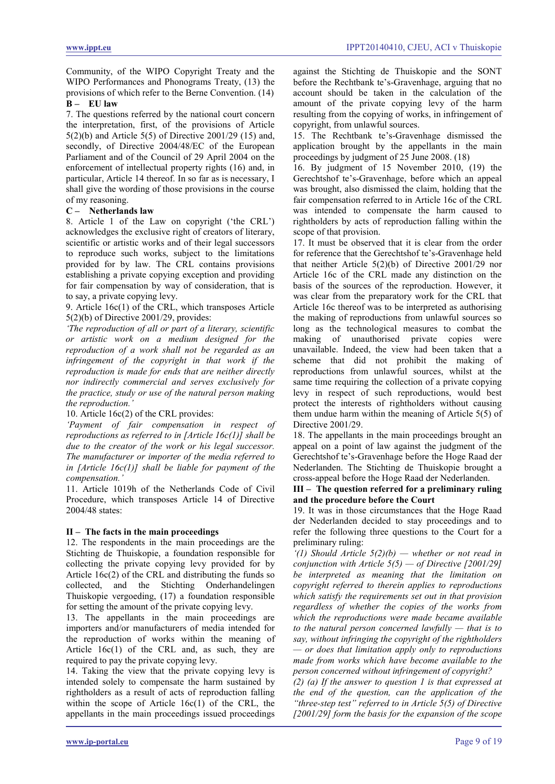Community, of the WIPO Copyright Treaty and the WIPO Performances and Phonograms Treaty, (13) the provisions of which refer to the Berne Convention. (14)

## **B – EU law**

7. The questions referred by the national court concern the interpretation, first, of the provisions of Article 5(2)(b) and Article 5(5) of Directive 2001/29 (15) and, secondly, of Directive 2004/48/EC of the European Parliament and of the Council of 29 April 2004 on the enforcement of intellectual property rights (16) and, in particular, Article 14 thereof. In so far as is necessary, I shall give the wording of those provisions in the course of my reasoning.

## **C – Netherlands law**

8. Article 1 of the Law on copyright ('the CRL') acknowledges the exclusive right of creators of literary, scientific or artistic works and of their legal successors to reproduce such works, subject to the limitations provided for by law. The CRL contains provisions establishing a private copying exception and providing for fair compensation by way of consideration, that is to say, a private copying levy.

9. Article 16c(1) of the CRL, which transposes Article 5(2)(b) of Directive 2001/29, provides:

*'The reproduction of all or part of a literary, scientific or artistic work on a medium designed for the reproduction of a work shall not be regarded as an infringement of the copyright in that work if the reproduction is made for ends that are neither directly nor indirectly commercial and serves exclusively for the practice, study or use of the natural person making the reproduction.'*

10. Article 16c(2) of the CRL provides:

*'Payment of fair compensation in respect of reproductions as referred to in [Article 16c(1)] shall be due to the creator of the work or his legal successor. The manufacturer or importer of the media referred to in [Article 16c(1)] shall be liable for payment of the compensation.'*

11. Article 1019h of the Netherlands Code of Civil Procedure, which transposes Article 14 of Directive 2004/48 states:

## **II – The facts in the main proceedings**

12. The respondents in the main proceedings are the Stichting de Thuiskopie, a foundation responsible for collecting the private copying levy provided for by Article 16c(2) of the CRL and distributing the funds so collected, and the Stichting Onderhandelingen Thuiskopie vergoeding, (17) a foundation responsible for setting the amount of the private copying levy.

13. The appellants in the main proceedings are importers and/or manufacturers of media intended for the reproduction of works within the meaning of Article 16c(1) of the CRL and, as such, they are required to pay the private copying levy.

14. Taking the view that the private copying levy is intended solely to compensate the harm sustained by rightholders as a result of acts of reproduction falling within the scope of Article 16c(1) of the CRL, the appellants in the main proceedings issued proceedings against the Stichting de Thuiskopie and the SONT before the Rechtbank te's-Gravenhage, arguing that no account should be taken in the calculation of the amount of the private copying levy of the harm resulting from the copying of works, in infringement of copyright, from unlawful sources.

15. The Rechtbank te's-Gravenhage dismissed the application brought by the appellants in the main proceedings by judgment of 25 June 2008. (18)

16. By judgment of 15 November 2010, (19) the Gerechtshof te's-Gravenhage, before which an appeal was brought, also dismissed the claim, holding that the fair compensation referred to in Article 16c of the CRL was intended to compensate the harm caused to rightholders by acts of reproduction falling within the scope of that provision.

17. It must be observed that it is clear from the order for reference that the Gerechtshof te's-Gravenhage held that neither Article 5(2)(b) of Directive 2001/29 nor Article 16c of the CRL made any distinction on the basis of the sources of the reproduction. However, it was clear from the preparatory work for the CRL that Article 16c thereof was to be interpreted as authorising the making of reproductions from unlawful sources so long as the technological measures to combat the making of unauthorised private copies were unavailable. Indeed, the view had been taken that a scheme that did not prohibit the making of reproductions from unlawful sources, whilst at the same time requiring the collection of a private copying levy in respect of such reproductions, would best protect the interests of rightholders without causing them undue harm within the meaning of Article 5(5) of Directive 2001/29.

18. The appellants in the main proceedings brought an appeal on a point of law against the judgment of the Gerechtshof te's-Gravenhage before the Hoge Raad der Nederlanden. The Stichting de Thuiskopie brought a cross-appeal before the Hoge Raad der Nederlanden.

#### **III – The question referred for a preliminary ruling and the procedure before the Court**

19. It was in those circumstances that the Hoge Raad der Nederlanden decided to stay proceedings and to refer the following three questions to the Court for a preliminary ruling:

*'(1) Should Article 5(2)(b) — whether or not read in conjunction with Article 5(5) — of Directive [2001/29] be interpreted as meaning that the limitation on copyright referred to therein applies to reproductions which satisfy the requirements set out in that provision regardless of whether the copies of the works from which the reproductions were made became available to the natural person concerned lawfully — that is to say, without infringing the copyright of the rightholders — or does that limitation apply only to reproductions made from works which have become available to the person concerned without infringement of copyright?*

*(2) (a) If the answer to question 1 is that expressed at the end of the question, can the application of the "three-step test" referred to in Article 5(5) of Directive [2001/29] form the basis for the expansion of the scope*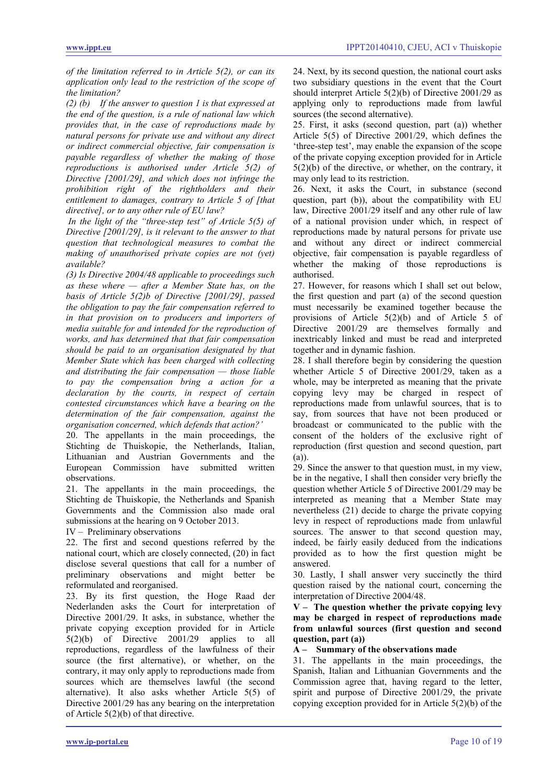*of the limitation referred to in Article 5(2), or can its application only lead to the restriction of the scope of the limitation?*

*(2) (b) If the answer to question 1 is that expressed at the end of the question, is a rule of national law which provides that, in the case of reproductions made by natural persons for private use and without any direct or indirect commercial objective, fair compensation is payable regardless of whether the making of those reproductions is authorised under Article 5(2) of Directive [2001/29], and which does not infringe the prohibition right of the rightholders and their entitlement to damages, contrary to Article 5 of [that directive], or to any other rule of EU law?*

*In the light of the "three-step test" of Article 5(5) of Directive [2001/29], is it relevant to the answer to that question that technological measures to combat the making of unauthorised private copies are not (yet) available?*

*(3) Is Directive 2004/48 applicable to proceedings such as these where — after a Member State has, on the basis of Article 5(2)b of Directive [2001/29], passed the obligation to pay the fair compensation referred to in that provision on to producers and importers of media suitable for and intended for the reproduction of works, and has determined that that fair compensation should be paid to an organisation designated by that Member State which has been charged with collecting and distributing the fair compensation — those liable to pay the compensation bring a action for a declaration by the courts, in respect of certain contested circumstances which have a bearing on the determination of the fair compensation, against the organisation concerned, which defends that action?'*

20. The appellants in the main proceedings, the Stichting de Thuiskopie, the Netherlands, Italian, Lithuanian and Austrian Governments and the European Commission have submitted written observations.

21. The appellants in the main proceedings, the Stichting de Thuiskopie, the Netherlands and Spanish Governments and the Commission also made oral submissions at the hearing on 9 October 2013.

IV – Preliminary observations

22. The first and second questions referred by the national court, which are closely connected, (20) in fact disclose several questions that call for a number of preliminary observations and might better be reformulated and reorganised.

23. By its first question, the Hoge Raad der Nederlanden asks the Court for interpretation of Directive 2001/29. It asks, in substance, whether the private copying exception provided for in Article 5(2)(b) of Directive 2001/29 applies to all reproductions, regardless of the lawfulness of their source (the first alternative), or whether, on the contrary, it may only apply to reproductions made from sources which are themselves lawful (the second alternative). It also asks whether Article 5(5) of Directive 2001/29 has any bearing on the interpretation of Article 5(2)(b) of that directive.

24. Next, by its second question, the national court asks two subsidiary questions in the event that the Court should interpret Article 5(2)(b) of Directive 2001/29 as applying only to reproductions made from lawful sources (the second alternative).

25. First, it asks (second question, part (a)) whether Article 5(5) of Directive 2001/29, which defines the 'three-step test', may enable the expansion of the scope of the private copying exception provided for in Article 5(2)(b) of the directive, or whether, on the contrary, it may only lead to its restriction.

26. Next, it asks the Court, in substance (second question, part (b)), about the compatibility with EU law, Directive 2001/29 itself and any other rule of law of a national provision under which, in respect of reproductions made by natural persons for private use and without any direct or indirect commercial objective, fair compensation is payable regardless of whether the making of those reproductions is authorised.

27. However, for reasons which I shall set out below, the first question and part (a) of the second question must necessarily be examined together because the provisions of Article 5(2)(b) and of Article 5 of Directive 2001/29 are themselves formally and inextricably linked and must be read and interpreted together and in dynamic fashion.

28. I shall therefore begin by considering the question whether Article 5 of Directive 2001/29, taken as a whole, may be interpreted as meaning that the private copying levy may be charged in respect of reproductions made from unlawful sources, that is to say, from sources that have not been produced or broadcast or communicated to the public with the consent of the holders of the exclusive right of reproduction (first question and second question, part (a)).

29. Since the answer to that question must, in my view, be in the negative, I shall then consider very briefly the question whether Article 5 of Directive 2001/29 may be interpreted as meaning that a Member State may nevertheless (21) decide to charge the private copying levy in respect of reproductions made from unlawful sources. The answer to that second question may, indeed, be fairly easily deduced from the indications provided as to how the first question might be answered.

30. Lastly, I shall answer very succinctly the third question raised by the national court, concerning the interpretation of Directive 2004/48.

**V – The question whether the private copying levy may be charged in respect of reproductions made from unlawful sources (first question and second question, part (a))**

#### **A – Summary of the observations made**

31. The appellants in the main proceedings, the Spanish, Italian and Lithuanian Governments and the Commission agree that, having regard to the letter, spirit and purpose of Directive 2001/29, the private copying exception provided for in Article 5(2)(b) of the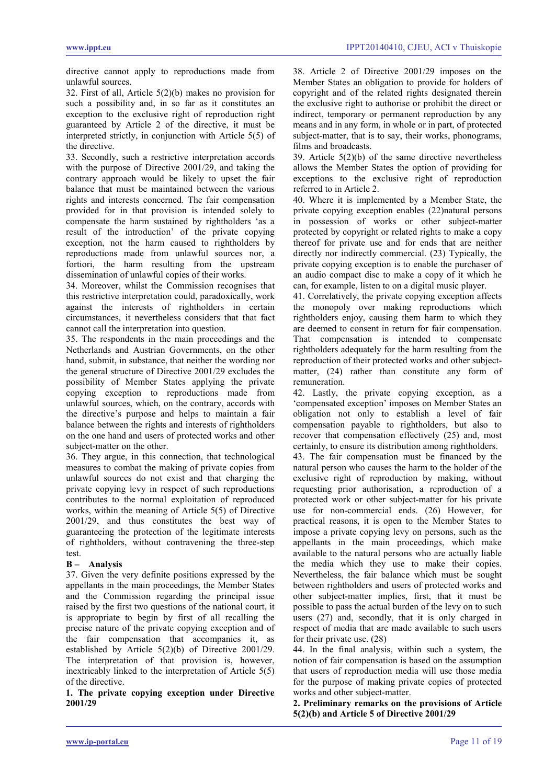directive cannot apply to reproductions made from unlawful sources.

32. First of all, Article 5(2)(b) makes no provision for such a possibility and, in so far as it constitutes an exception to the exclusive right of reproduction right guaranteed by Article 2 of the directive, it must be interpreted strictly, in conjunction with Article 5(5) of the directive.

33. Secondly, such a restrictive interpretation accords with the purpose of Directive 2001/29, and taking the contrary approach would be likely to upset the fair balance that must be maintained between the various rights and interests concerned. The fair compensation provided for in that provision is intended solely to compensate the harm sustained by rightholders 'as a result of the introduction' of the private copying exception, not the harm caused to rightholders by reproductions made from unlawful sources nor, a fortiori, the harm resulting from the upstream dissemination of unlawful copies of their works.

34. Moreover, whilst the Commission recognises that this restrictive interpretation could, paradoxically, work against the interests of rightholders in certain circumstances, it nevertheless considers that that fact cannot call the interpretation into question.

35. The respondents in the main proceedings and the Netherlands and Austrian Governments, on the other hand, submit, in substance, that neither the wording nor the general structure of Directive 2001/29 excludes the possibility of Member States applying the private copying exception to reproductions made from unlawful sources, which, on the contrary, accords with the directive's purpose and helps to maintain a fair balance between the rights and interests of rightholders on the one hand and users of protected works and other subject-matter on the other.

36. They argue, in this connection, that technological measures to combat the making of private copies from unlawful sources do not exist and that charging the private copying levy in respect of such reproductions contributes to the normal exploitation of reproduced works, within the meaning of Article 5(5) of Directive 2001/29, and thus constitutes the best way of guaranteeing the protection of the legitimate interests of rightholders, without contravening the three-step test.

#### **B – Analysis**

37. Given the very definite positions expressed by the appellants in the main proceedings, the Member States and the Commission regarding the principal issue raised by the first two questions of the national court, it is appropriate to begin by first of all recalling the precise nature of the private copying exception and of the fair compensation that accompanies it, as established by Article 5(2)(b) of Directive 2001/29. The interpretation of that provision is, however, inextricably linked to the interpretation of Article 5(5) of the directive.

**1. The private copying exception under Directive 2001/29**

38. Article 2 of Directive 2001/29 imposes on the Member States an obligation to provide for holders of copyright and of the related rights designated therein the exclusive right to authorise or prohibit the direct or indirect, temporary or permanent reproduction by any means and in any form, in whole or in part, of protected subject-matter, that is to say, their works, phonograms, films and broadcasts.

39. Article  $5(2)(b)$  of the same directive nevertheless allows the Member States the option of providing for exceptions to the exclusive right of reproduction referred to in Article 2.

40. Where it is implemented by a Member State, the private copying exception enables (22)natural persons in possession of works or other subject-matter protected by copyright or related rights to make a copy thereof for private use and for ends that are neither directly nor indirectly commercial. (23) Typically, the private copying exception is to enable the purchaser of an audio compact disc to make a copy of it which he can, for example, listen to on a digital music player.

41. Correlatively, the private copying exception affects the monopoly over making reproductions which rightholders enjoy, causing them harm to which they are deemed to consent in return for fair compensation. That compensation is intended to compensate rightholders adequately for the harm resulting from the reproduction of their protected works and other subjectmatter, (24) rather than constitute any form of remuneration.

42. Lastly, the private copying exception, as a 'compensated exception' imposes on Member States an obligation not only to establish a level of fair compensation payable to rightholders, but also to recover that compensation effectively (25) and, most certainly, to ensure its distribution among rightholders.

43. The fair compensation must be financed by the natural person who causes the harm to the holder of the exclusive right of reproduction by making, without requesting prior authorisation, a reproduction of a protected work or other subject-matter for his private use for non-commercial ends. (26) However, for practical reasons, it is open to the Member States to impose a private copying levy on persons, such as the appellants in the main proceedings, which make available to the natural persons who are actually liable the media which they use to make their copies. Nevertheless, the fair balance which must be sought between rightholders and users of protected works and other subject-matter implies, first, that it must be possible to pass the actual burden of the levy on to such users (27) and, secondly, that it is only charged in respect of media that are made available to such users for their private use. (28)

44. In the final analysis, within such a system, the notion of fair compensation is based on the assumption that users of reproduction media will use those media for the purpose of making private copies of protected works and other subject-matter.

**2. Preliminary remarks on the provisions of Article 5(2)(b) and Article 5 of Directive 2001/29**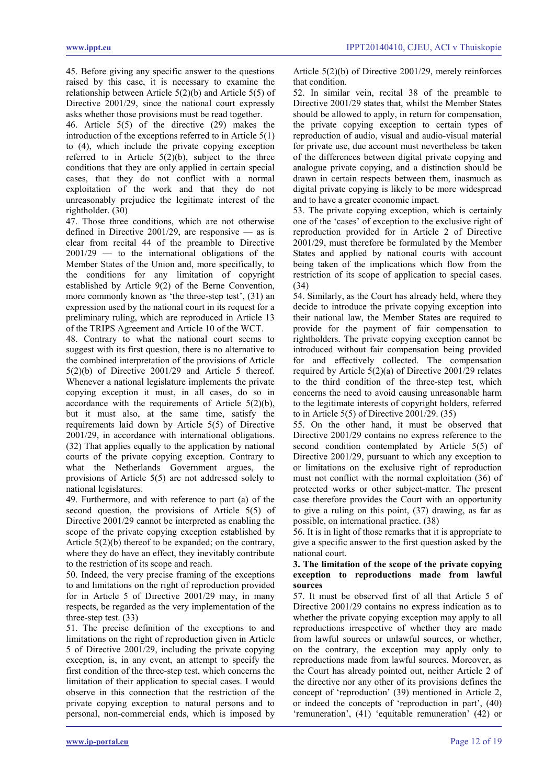45. Before giving any specific answer to the questions raised by this case, it is necessary to examine the relationship between Article 5(2)(b) and Article 5(5) of Directive 2001/29, since the national court expressly asks whether those provisions must be read together.

46. Article 5(5) of the directive (29) makes the introduction of the exceptions referred to in Article 5(1) to (4), which include the private copying exception referred to in Article  $5(2)(b)$ , subject to the three conditions that they are only applied in certain special cases, that they do not conflict with a normal exploitation of the work and that they do not unreasonably prejudice the legitimate interest of the rightholder. (30)

47. Those three conditions, which are not otherwise defined in Directive 2001/29, are responsive  $\frac{ }{ }$  as is clear from recital 44 of the preamble to Directive 2001/29 — to the international obligations of the Member States of the Union and, more specifically, to the conditions for any limitation of copyright established by Article 9(2) of the Berne Convention, more commonly known as 'the three-step test', (31) an expression used by the national court in its request for a preliminary ruling, which are reproduced in Article 13 of the TRIPS Agreement and Article 10 of the WCT.

48. Contrary to what the national court seems to suggest with its first question, there is no alternative to the combined interpretation of the provisions of Article 5(2)(b) of Directive 2001/29 and Article 5 thereof. Whenever a national legislature implements the private copying exception it must, in all cases, do so in accordance with the requirements of Article 5(2)(b), but it must also, at the same time, satisfy the requirements laid down by Article 5(5) of Directive 2001/29, in accordance with international obligations. (32) That applies equally to the application by national courts of the private copying exception. Contrary to what the Netherlands Government argues, the provisions of Article 5(5) are not addressed solely to national legislatures.

49. Furthermore, and with reference to part (a) of the second question, the provisions of Article 5(5) of Directive 2001/29 cannot be interpreted as enabling the scope of the private copying exception established by Article 5(2)(b) thereof to be expanded; on the contrary, where they do have an effect, they inevitably contribute to the restriction of its scope and reach.

50. Indeed, the very precise framing of the exceptions to and limitations on the right of reproduction provided for in Article 5 of Directive 2001/29 may, in many respects, be regarded as the very implementation of the three-step test. (33)

51. The precise definition of the exceptions to and limitations on the right of reproduction given in Article 5 of Directive 2001/29, including the private copying exception, is, in any event, an attempt to specify the first condition of the three-step test, which concerns the limitation of their application to special cases. I would observe in this connection that the restriction of the private copying exception to natural persons and to personal, non-commercial ends, which is imposed by

Article 5(2)(b) of Directive 2001/29, merely reinforces that condition.

52. In similar vein, recital 38 of the preamble to Directive 2001/29 states that, whilst the Member States should be allowed to apply, in return for compensation, the private copying exception to certain types of reproduction of audio, visual and audio-visual material for private use, due account must nevertheless be taken of the differences between digital private copying and analogue private copying, and a distinction should be drawn in certain respects between them, inasmuch as digital private copying is likely to be more widespread and to have a greater economic impact.

53. The private copying exception, which is certainly one of the 'cases' of exception to the exclusive right of reproduction provided for in Article 2 of Directive 2001/29, must therefore be formulated by the Member States and applied by national courts with account being taken of the implications which flow from the restriction of its scope of application to special cases. (34)

54. Similarly, as the Court has already held, where they decide to introduce the private copying exception into their national law, the Member States are required to provide for the payment of fair compensation to rightholders. The private copying exception cannot be introduced without fair compensation being provided for and effectively collected. The compensation required by Article 5(2)(a) of Directive 2001/29 relates to the third condition of the three-step test, which concerns the need to avoid causing unreasonable harm to the legitimate interests of copyright holders, referred to in Article 5(5) of Directive 2001/29. (35)

55. On the other hand, it must be observed that Directive 2001/29 contains no express reference to the second condition contemplated by Article 5(5) of Directive 2001/29, pursuant to which any exception to or limitations on the exclusive right of reproduction must not conflict with the normal exploitation (36) of protected works or other subject-matter. The present case therefore provides the Court with an opportunity to give a ruling on this point, (37) drawing, as far as possible, on international practice. (38)

56. It is in light of those remarks that it is appropriate to give a specific answer to the first question asked by the national court.

#### **3. The limitation of the scope of the private copying exception to reproductions made from lawful sources**

57. It must be observed first of all that Article 5 of Directive 2001/29 contains no express indication as to whether the private copying exception may apply to all reproductions irrespective of whether they are made from lawful sources or unlawful sources, or whether, on the contrary, the exception may apply only to reproductions made from lawful sources. Moreover, as the Court has already pointed out, neither Article 2 of the directive nor any other of its provisions defines the concept of 'reproduction' (39) mentioned in Article 2, or indeed the concepts of 'reproduction in part', (40) 'remuneration', (41) 'equitable remuneration' (42) or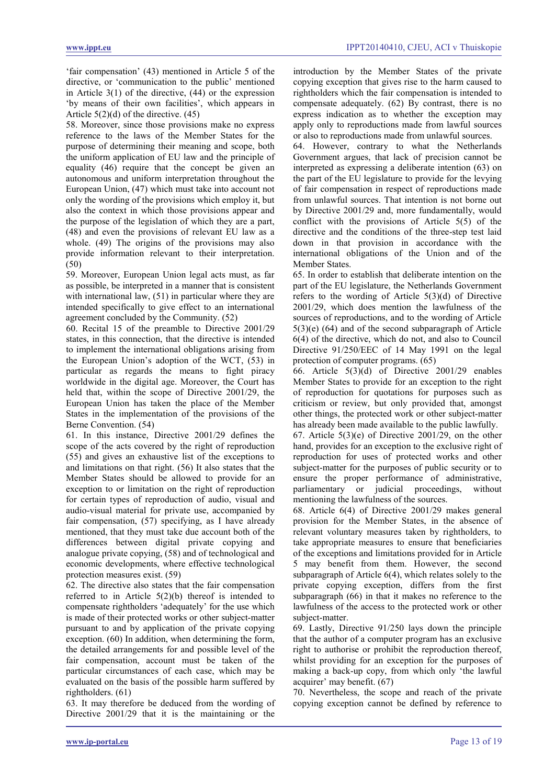'fair compensation' (43) mentioned in Article 5 of the directive, or 'communication to the public' mentioned in Article  $3(1)$  of the directive,  $(44)$  or the expression 'by means of their own facilities', which appears in Article  $5(2)(d)$  of the directive. (45)

58. Moreover, since those provisions make no express reference to the laws of the Member States for the purpose of determining their meaning and scope, both the uniform application of EU law and the principle of equality (46) require that the concept be given an autonomous and uniform interpretation throughout the European Union, (47) which must take into account not only the wording of the provisions which employ it, but also the context in which those provisions appear and the purpose of the legislation of which they are a part, (48) and even the provisions of relevant EU law as a whole. (49) The origins of the provisions may also provide information relevant to their interpretation. (50)

59. Moreover, European Union legal acts must, as far as possible, be interpreted in a manner that is consistent with international law,  $(51)$  in particular where they are intended specifically to give effect to an international agreement concluded by the Community. (52)

60. Recital 15 of the preamble to Directive 2001/29 states, in this connection, that the directive is intended to implement the international obligations arising from the European Union's adoption of the WCT, (53) in particular as regards the means to fight piracy worldwide in the digital age. Moreover, the Court has held that, within the scope of Directive 2001/29, the European Union has taken the place of the Member States in the implementation of the provisions of the Berne Convention. (54)

61. In this instance, Directive 2001/29 defines the scope of the acts covered by the right of reproduction (55) and gives an exhaustive list of the exceptions to and limitations on that right. (56) It also states that the Member States should be allowed to provide for an exception to or limitation on the right of reproduction for certain types of reproduction of audio, visual and audio-visual material for private use, accompanied by fair compensation, (57) specifying, as I have already mentioned, that they must take due account both of the differences between digital private copying and analogue private copying, (58) and of technological and economic developments, where effective technological protection measures exist. (59)

62. The directive also states that the fair compensation referred to in Article 5(2)(b) thereof is intended to compensate rightholders 'adequately' for the use which is made of their protected works or other subject-matter pursuant to and by application of the private copying exception. (60) In addition, when determining the form, the detailed arrangements for and possible level of the fair compensation, account must be taken of the particular circumstances of each case, which may be evaluated on the basis of the possible harm suffered by rightholders. (61)

63. It may therefore be deduced from the wording of Directive 2001/29 that it is the maintaining or the

introduction by the Member States of the private copying exception that gives rise to the harm caused to rightholders which the fair compensation is intended to compensate adequately. (62) By contrast, there is no express indication as to whether the exception may apply only to reproductions made from lawful sources or also to reproductions made from unlawful sources.

64. However, contrary to what the Netherlands Government argues, that lack of precision cannot be interpreted as expressing a deliberate intention (63) on the part of the EU legislature to provide for the levying of fair compensation in respect of reproductions made from unlawful sources. That intention is not borne out by Directive 2001/29 and, more fundamentally, would conflict with the provisions of Article 5(5) of the directive and the conditions of the three-step test laid down in that provision in accordance with the international obligations of the Union and of the Member States.

65. In order to establish that deliberate intention on the part of the EU legislature, the Netherlands Government refers to the wording of Article  $5(3)(d)$  of Directive 2001/29, which does mention the lawfulness of the sources of reproductions, and to the wording of Article 5(3)(e) (64) and of the second subparagraph of Article 6(4) of the directive, which do not, and also to Council Directive 91/250/EEC of 14 May 1991 on the legal protection of computer programs. (65)

66. Article 5(3)(d) of Directive 2001/29 enables Member States to provide for an exception to the right of reproduction for quotations for purposes such as criticism or review, but only provided that, amongst other things, the protected work or other subject-matter has already been made available to the public lawfully.

67. Article 5(3)(e) of Directive 2001/29, on the other hand, provides for an exception to the exclusive right of reproduction for uses of protected works and other subject-matter for the purposes of public security or to ensure the proper performance of administrative, parliamentary or judicial proceedings, without mentioning the lawfulness of the sources.

68. Article 6(4) of Directive 2001/29 makes general provision for the Member States, in the absence of relevant voluntary measures taken by rightholders, to take appropriate measures to ensure that beneficiaries of the exceptions and limitations provided for in Article 5 may benefit from them. However, the second subparagraph of Article 6(4), which relates solely to the private copying exception, differs from the first subparagraph (66) in that it makes no reference to the lawfulness of the access to the protected work or other subject-matter.

69. Lastly, Directive 91/250 lays down the principle that the author of a computer program has an exclusive right to authorise or prohibit the reproduction thereof, whilst providing for an exception for the purposes of making a back-up copy, from which only 'the lawful acquirer' may benefit. (67)

70. Nevertheless, the scope and reach of the private copying exception cannot be defined by reference to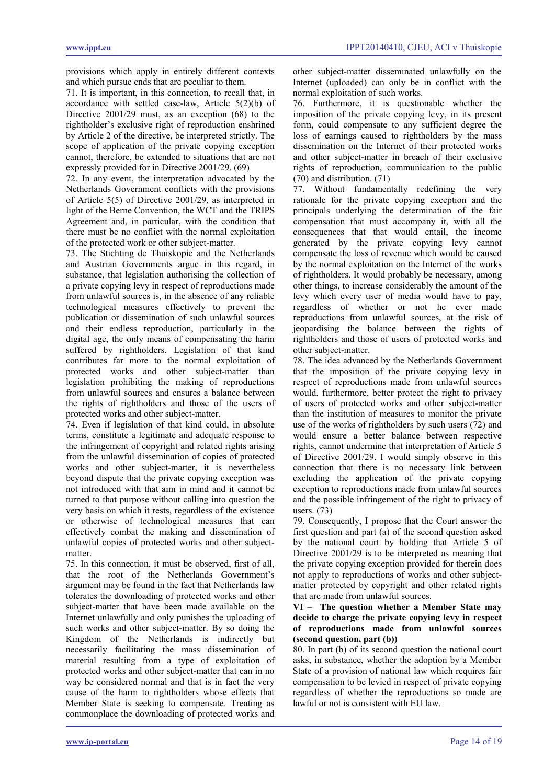provisions which apply in entirely different contexts and which pursue ends that are peculiar to them.

71. It is important, in this connection, to recall that, in accordance with settled case-law, Article 5(2)(b) of Directive 2001/29 must, as an exception (68) to the rightholder's exclusive right of reproduction enshrined by Article 2 of the directive, be interpreted strictly. The scope of application of the private copying exception cannot, therefore, be extended to situations that are not expressly provided for in Directive 2001/29. (69)

72. In any event, the interpretation advocated by the Netherlands Government conflicts with the provisions of Article 5(5) of Directive 2001/29, as interpreted in light of the Berne Convention, the WCT and the TRIPS Agreement and, in particular, with the condition that there must be no conflict with the normal exploitation of the protected work or other subject-matter.

73. The Stichting de Thuiskopie and the Netherlands and Austrian Governments argue in this regard, in substance, that legislation authorising the collection of a private copying levy in respect of reproductions made from unlawful sources is, in the absence of any reliable technological measures effectively to prevent the publication or dissemination of such unlawful sources and their endless reproduction, particularly in the digital age, the only means of compensating the harm suffered by rightholders. Legislation of that kind contributes far more to the normal exploitation of protected works and other subject-matter than legislation prohibiting the making of reproductions from unlawful sources and ensures a balance between the rights of rightholders and those of the users of protected works and other subject-matter.

74. Even if legislation of that kind could, in absolute terms, constitute a legitimate and adequate response to the infringement of copyright and related rights arising from the unlawful dissemination of copies of protected works and other subject-matter, it is nevertheless beyond dispute that the private copying exception was not introduced with that aim in mind and it cannot be turned to that purpose without calling into question the very basis on which it rests, regardless of the existence or otherwise of technological measures that can effectively combat the making and dissemination of unlawful copies of protected works and other subjectmatter.

75. In this connection, it must be observed, first of all, that the root of the Netherlands Government's argument may be found in the fact that Netherlands law tolerates the downloading of protected works and other subject-matter that have been made available on the Internet unlawfully and only punishes the uploading of such works and other subject-matter. By so doing the Kingdom of the Netherlands is indirectly but necessarily facilitating the mass dissemination of material resulting from a type of exploitation of protected works and other subject-matter that can in no way be considered normal and that is in fact the very cause of the harm to rightholders whose effects that Member State is seeking to compensate. Treating as commonplace the downloading of protected works and other subject-matter disseminated unlawfully on the Internet (uploaded) can only be in conflict with the normal exploitation of such works.

76. Furthermore, it is questionable whether the imposition of the private copying levy, in its present form, could compensate to any sufficient degree the loss of earnings caused to rightholders by the mass dissemination on the Internet of their protected works and other subject-matter in breach of their exclusive rights of reproduction, communication to the public (70) and distribution. (71)

77. Without fundamentally redefining the very rationale for the private copying exception and the principals underlying the determination of the fair compensation that must accompany it, with all the consequences that that would entail, the income generated by the private copying levy cannot compensate the loss of revenue which would be caused by the normal exploitation on the Internet of the works of rightholders. It would probably be necessary, among other things, to increase considerably the amount of the levy which every user of media would have to pay, regardless of whether or not he ever made reproductions from unlawful sources, at the risk of jeopardising the balance between the rights of rightholders and those of users of protected works and other subject-matter.

78. The idea advanced by the Netherlands Government that the imposition of the private copying levy in respect of reproductions made from unlawful sources would, furthermore, better protect the right to privacy of users of protected works and other subject-matter than the institution of measures to monitor the private use of the works of rightholders by such users (72) and would ensure a better balance between respective rights, cannot undermine that interpretation of Article 5 of Directive 2001/29. I would simply observe in this connection that there is no necessary link between excluding the application of the private copying exception to reproductions made from unlawful sources and the possible infringement of the right to privacy of users. (73)

79. Consequently, I propose that the Court answer the first question and part (a) of the second question asked by the national court by holding that Article 5 of Directive 2001/29 is to be interpreted as meaning that the private copying exception provided for therein does not apply to reproductions of works and other subjectmatter protected by copyright and other related rights that are made from unlawful sources.

## **VI – The question whether a Member State may decide to charge the private copying levy in respect of reproductions made from unlawful sources (second question, part (b))**

80. In part (b) of its second question the national court asks, in substance, whether the adoption by a Member State of a provision of national law which requires fair compensation to be levied in respect of private copying regardless of whether the reproductions so made are lawful or not is consistent with EU law.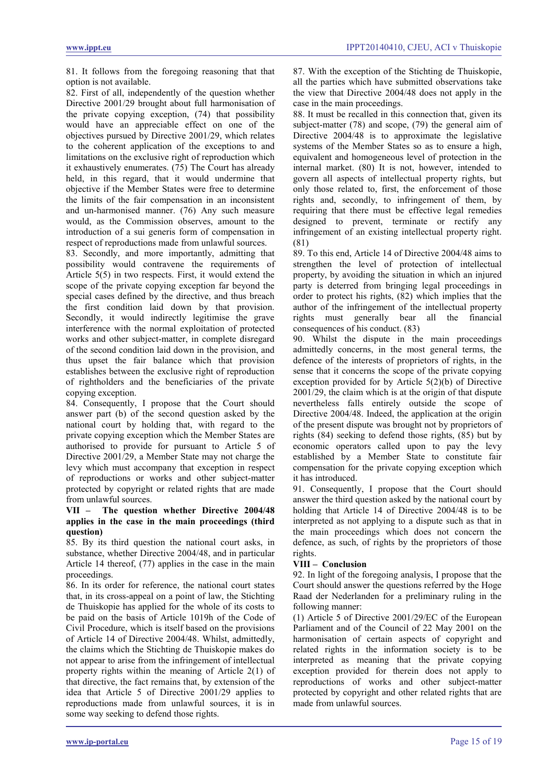81. It follows from the foregoing reasoning that that option is not available.

82. First of all, independently of the question whether Directive 2001/29 brought about full harmonisation of the private copying exception, (74) that possibility would have an appreciable effect on one of the objectives pursued by Directive 2001/29, which relates to the coherent application of the exceptions to and limitations on the exclusive right of reproduction which it exhaustively enumerates. (75) The Court has already held, in this regard, that it would undermine that objective if the Member States were free to determine the limits of the fair compensation in an inconsistent and un-harmonised manner. (76) Any such measure would, as the Commission observes, amount to the introduction of a sui generis form of compensation in respect of reproductions made from unlawful sources.

83. Secondly, and more importantly, admitting that possibility would contravene the requirements of Article 5(5) in two respects. First, it would extend the scope of the private copying exception far beyond the special cases defined by the directive, and thus breach the first condition laid down by that provision. Secondly, it would indirectly legitimise the grave interference with the normal exploitation of protected works and other subject-matter, in complete disregard of the second condition laid down in the provision, and thus upset the fair balance which that provision establishes between the exclusive right of reproduction of rightholders and the beneficiaries of the private copying exception.

84. Consequently, I propose that the Court should answer part (b) of the second question asked by the national court by holding that, with regard to the private copying exception which the Member States are authorised to provide for pursuant to Article 5 of Directive 2001/29, a Member State may not charge the levy which must accompany that exception in respect of reproductions or works and other subject-matter protected by copyright or related rights that are made from unlawful sources.

#### **VII – The question whether Directive 2004/48 applies in the case in the main proceedings (third question)**

85. By its third question the national court asks, in substance, whether Directive 2004/48, and in particular Article 14 thereof, (77) applies in the case in the main proceedings.

86. In its order for reference, the national court states that, in its cross-appeal on a point of law, the Stichting de Thuiskopie has applied for the whole of its costs to be paid on the basis of Article 1019h of the Code of Civil Procedure, which is itself based on the provisions of Article 14 of Directive 2004/48. Whilst, admittedly, the claims which the Stichting de Thuiskopie makes do not appear to arise from the infringement of intellectual property rights within the meaning of Article 2(1) of that directive, the fact remains that, by extension of the idea that Article 5 of Directive 2001/29 applies to reproductions made from unlawful sources, it is in some way seeking to defend those rights.

87. With the exception of the Stichting de Thuiskopie, all the parties which have submitted observations take the view that Directive 2004/48 does not apply in the case in the main proceedings.

88. It must be recalled in this connection that, given its subject-matter (78) and scope, (79) the general aim of Directive 2004/48 is to approximate the legislative systems of the Member States so as to ensure a high, equivalent and homogeneous level of protection in the internal market. (80) It is not, however, intended to govern all aspects of intellectual property rights, but only those related to, first, the enforcement of those rights and, secondly, to infringement of them, by requiring that there must be effective legal remedies designed to prevent, terminate or rectify any infringement of an existing intellectual property right. (81)

89. To this end, Article 14 of Directive 2004/48 aims to strengthen the level of protection of intellectual property, by avoiding the situation in which an injured party is deterred from bringing legal proceedings in order to protect his rights, (82) which implies that the author of the infringement of the intellectual property rights must generally bear all the financial consequences of his conduct. (83)

90. Whilst the dispute in the main proceedings admittedly concerns, in the most general terms, the defence of the interests of proprietors of rights, in the sense that it concerns the scope of the private copying exception provided for by Article 5(2)(b) of Directive 2001/29, the claim which is at the origin of that dispute nevertheless falls entirely outside the scope of Directive 2004/48. Indeed, the application at the origin of the present dispute was brought not by proprietors of rights (84) seeking to defend those rights, (85) but by economic operators called upon to pay the levy established by a Member State to constitute fair compensation for the private copying exception which it has introduced.

91. Consequently, I propose that the Court should answer the third question asked by the national court by holding that Article 14 of Directive 2004/48 is to be interpreted as not applying to a dispute such as that in the main proceedings which does not concern the defence, as such, of rights by the proprietors of those rights.

## **VIII – Conclusion**

92. In light of the foregoing analysis, I propose that the Court should answer the questions referred by the Hoge Raad der Nederlanden for a preliminary ruling in the following manner:

(1) Article 5 of Directive 2001/29/EC of the European Parliament and of the Council of 22 May 2001 on the harmonisation of certain aspects of copyright and related rights in the information society is to be interpreted as meaning that the private copying exception provided for therein does not apply to reproductions of works and other subject-matter protected by copyright and other related rights that are made from unlawful sources.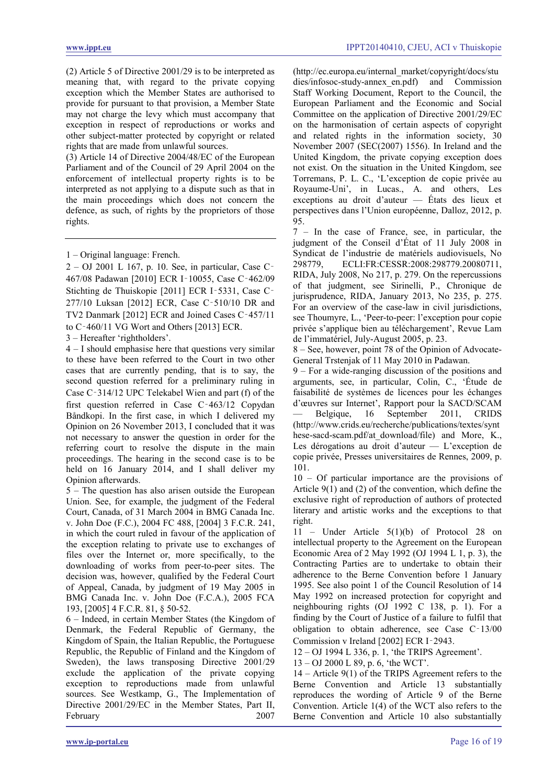(2) Article 5 of Directive 2001/29 is to be interpreted as meaning that, with regard to the private copying exception which the Member States are authorised to provide for pursuant to that provision, a Member State may not charge the levy which must accompany that exception in respect of reproductions or works and other subject-matter protected by copyright or related rights that are made from unlawful sources.

(3) Article 14 of Directive 2004/48/EC of the European Parliament and of the Council of 29 April 2004 on the enforcement of intellectual property rights is to be interpreted as not applying to a dispute such as that in the main proceedings which does not concern the defence, as such, of rights by the proprietors of those rights.

 $2 - OJ$  2001 L 167, p. 10. See, in particular, Case C– 467/08 Padawan [2010] ECR I‑10055, Case C‑462/09 Stichting de Thuiskopie [2011] ECR I-5331, Case C-277/10 Luksan [2012] ECR, Case C‑510/10 DR and TV2 Danmark [2012] ECR and Joined Cases C‑457/11 to C‑460/11 VG Wort and Others [2013] ECR.

4 – I should emphasise here that questions very similar to these have been referred to the Court in two other cases that are currently pending, that is to say, the second question referred for a preliminary ruling in Case C‑314/12 UPC Telekabel Wien and part (f) of the first question referred in Case C‑463/12 Copydan Båndkopi. In the first case, in which I delivered my Opinion on 26 November 2013, I concluded that it was not necessary to answer the question in order for the referring court to resolve the dispute in the main proceedings. The hearing in the second case is to be held on 16 January 2014, and I shall deliver my Opinion afterwards.

5 – The question has also arisen outside the European Union. See, for example, the judgment of the Federal Court, Canada, of 31 March 2004 in BMG Canada Inc. v. John Doe (F.C.), 2004 FC 488, [2004] 3 F.C.R. 241, in which the court ruled in favour of the application of the exception relating to private use to exchanges of files over the Internet or, more specifically, to the downloading of works from peer-to-peer sites. The decision was, however, qualified by the Federal Court of Appeal, Canada, by judgment of 19 May 2005 in BMG Canada Inc. v. John Doe (F.C.A.), 2005 FCA 193, [2005] 4 F.C.R. 81, § 50-52.

6 – Indeed, in certain Member States (the Kingdom of Denmark, the Federal Republic of Germany, the Kingdom of Spain, the Italian Republic, the Portuguese Republic, the Republic of Finland and the Kingdom of Sweden), the laws transposing Directive 2001/29 exclude the application of the private copying exception to reproductions made from unlawful sources. See Westkamp, G., The Implementation of Directive 2001/29/EC in the Member States, Part II, February 2007

(http://ec.europa.eu/internal\_market/copyright/docs/stu dies/infosoc-study-annex\_en.pdf) and Commission Staff Working Document, Report to the Council, the European Parliament and the Economic and Social Committee on the application of Directive 2001/29/EC on the harmonisation of certain aspects of copyright and related rights in the information society, 30 November 2007 (SEC(2007) 1556). In Ireland and the United Kingdom, the private copying exception does not exist. On the situation in the United Kingdom, see Torremans, P. L. C., 'L'exception de copie privée au Royaume-Uni', in Lucas., A. and others, Les exceptions au droit d'auteur — États des lieux et perspectives dans l'Union européenne, Dalloz, 2012, p. 95.

7 – In the case of France, see, in particular, the judgment of the Conseil d'État of 11 July 2008 in Syndicat de l'industrie de matériels audiovisuels, No 298779, ECLI:FR:CESSR:2008:298779.20080711, RIDA, July 2008, No 217, p. 279. On the repercussions of that judgment, see Sirinelli, P., Chronique de jurisprudence, RIDA, January 2013, No 235, p. 275. For an overview of the case-law in civil jurisdictions, see Thoumyre, L., 'Peer-to-peer: l'exception pour copie privée s'applique bien au téléchargement', Revue Lam de l'immatériel, July-August 2005, p. 23.

8 – See, however, point 78 of the Opinion of Advocate-General Trstenjak of 11 May 2010 in Padawan.

9 – For a wide-ranging discussion of the positions and arguments, see, in particular, Colin, C., 'Étude de faisabilité de systèmes de licences pour les échanges d'œuvres sur Internet', Rapport pour la SACD/SCAM Belgique, 16 September 2011, CRIDS (http://www.crids.eu/recherche/publications/textes/synt hese-sacd-scam.pdf/at download/file) and More, K., Les dérogations au droit d'auteur — L'exception de copie privée, Presses universitaires de Rennes, 2009, p. 101.

10 – Of particular importance are the provisions of Article 9(1) and (2) of the convention, which define the exclusive right of reproduction of authors of protected literary and artistic works and the exceptions to that right.

11 – Under Article 5(1)(b) of Protocol 28 on intellectual property to the Agreement on the European Economic Area of 2 May 1992 (OJ 1994 L 1, p. 3), the Contracting Parties are to undertake to obtain their adherence to the Berne Convention before 1 January 1995. See also point 1 of the Council Resolution of 14 May 1992 on increased protection for copyright and neighbouring rights (OJ 1992 C 138, p. 1). For a finding by the Court of Justice of a failure to fulfil that obligation to obtain adherence, see Case C‑13/00 Commission v Ireland [2002] ECR I‑2943.

12 – OJ 1994 L 336, p. 1, 'the TRIPS Agreement'.

13 – OJ 2000 L 89, p. 6, 'the WCT'.

14 – Article 9(1) of the TRIPS Agreement refers to the Berne Convention and Article 13 substantially reproduces the wording of Article 9 of the Berne Convention. Article 1(4) of the WCT also refers to the Berne Convention and Article 10 also substantially

<sup>1</sup> – Original language: French.

<sup>3</sup> – Hereafter 'rightholders'.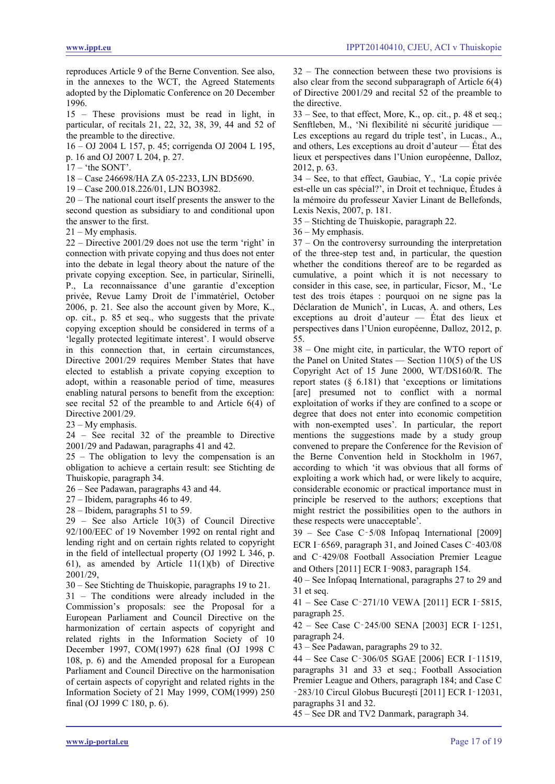reproduces Article 9 of the Berne Convention. See also, in the annexes to the WCT, the Agreed Statements adopted by the Diplomatic Conference on 20 December 1996.

15 – These provisions must be read in light, in particular, of recitals 21, 22, 32, 38, 39, 44 and 52 of the preamble to the directive.

16 – OJ 2004 L 157, p. 45; corrigenda OJ 2004 L 195, p. 16 and OJ 2007 L 204, p. 27.

17 – 'the SONT'.

18 – Case 246698/HA ZA 05-2233, LJN BD5690.

19 – Case 200.018.226/01, LJN BO3982.

20 – The national court itself presents the answer to the second question as subsidiary to and conditional upon the answer to the first.

 $21 - My$  emphasis.

22 – Directive 2001/29 does not use the term 'right' in connection with private copying and thus does not enter into the debate in legal theory about the nature of the private copying exception. See, in particular, Sirinelli, P., La reconnaissance d'une garantie d'exception privée, Revue Lamy Droit de l'immatériel, October 2006, p. 21. See also the account given by More, K., op. cit., p. 85 et seq., who suggests that the private copying exception should be considered in terms of a 'legally protected legitimate interest'. I would observe in this connection that, in certain circumstances, Directive 2001/29 requires Member States that have elected to establish a private copying exception to adopt, within a reasonable period of time, measures enabling natural persons to benefit from the exception: see recital 52 of the preamble to and Article 6(4) of Directive 2001/29.

23 – My emphasis.

24 – See recital 32 of the preamble to Directive 2001/29 and Padawan, paragraphs 41 and 42.

25 – The obligation to levy the compensation is an obligation to achieve a certain result: see Stichting de Thuiskopie, paragraph 34.

26 – See Padawan, paragraphs 43 and 44.

27 – Ibidem, paragraphs 46 to 49.

28 – Ibidem, paragraphs 51 to 59.

29 – See also Article 10(3) of Council Directive 92/100/EEC of 19 November 1992 on rental right and lending right and on certain rights related to copyright in the field of intellectual property (OJ 1992 L 346, p. 61), as amended by Article 11(1)(b) of Directive 2001/29,

30 – See Stichting de Thuiskopie, paragraphs 19 to 21.

31 – The conditions were already included in the Commission's proposals: see the Proposal for a European Parliament and Council Directive on the harmonization of certain aspects of copyright and related rights in the Information Society of 10 December 1997, COM(1997) 628 final (OJ 1998 C 108, p. 6) and the Amended proposal for a European Parliament and Council Directive on the harmonisation of certain aspects of copyright and related rights in the Information Society of 21 May 1999, COM(1999) 250 final (OJ 1999 C 180, p. 6).

32 – The connection between these two provisions is also clear from the second subparagraph of Article 6(4) of Directive 2001/29 and recital 52 of the preamble to the directive.

33 – See, to that effect, More, K., op. cit., p. 48 et seq.; Senftleben, M., 'Ni flexibilité ni sécurité juridique — Les exceptions au regard du triple test', in Lucas., A., and others, Les exceptions au droit d'auteur — État des lieux et perspectives dans l'Union européenne, Dalloz, 2012, p. 63.

34 – See, to that effect, Gaubiac, Y., 'La copie privée est-elle un cas spécial?', in Droit et technique, Études à la mémoire du professeur Xavier Linant de Bellefonds, Lexis Nexis, 2007, p. 181.

35 – Stichting de Thuiskopie, paragraph 22.

36 – My emphasis.

37 – On the controversy surrounding the interpretation of the three-step test and, in particular, the question whether the conditions thereof are to be regarded as cumulative, a point which it is not necessary to consider in this case, see, in particular, Ficsor, M., 'Le test des trois étapes : pourquoi on ne signe pas la Déclaration de Munich', in Lucas, A. and others, Les exceptions au droit d'auteur — État des lieux et perspectives dans l'Union européenne, Dalloz, 2012, p. 55.

38 – One might cite, in particular, the WTO report of the Panel on United States — Section 110(5) of the US Copyright Act of 15 June 2000, WT/DS160/R. The report states (§ 6.181) that 'exceptions or limitations [are] presumed not to conflict with a normal exploitation of works if they are confined to a scope or degree that does not enter into economic competition with non-exempted uses'. In particular, the report mentions the suggestions made by a study group convened to prepare the Conference for the Revision of the Berne Convention held in Stockholm in 1967, according to which 'it was obvious that all forms of exploiting a work which had, or were likely to acquire, considerable economic or practical importance must in principle be reserved to the authors; exceptions that might restrict the possibilities open to the authors in these respects were unacceptable'.

39 – See Case C‑5/08 Infopaq International [2009] ECR I‑6569, paragraph 31, and Joined Cases C‑403/08 and C‑429/08 Football Association Premier League and Others [2011] ECR I‑9083, paragraph 154.

40 – See Infopaq International, paragraphs 27 to 29 and 31 et seq.

41 – See Case C‑271/10 VEWA [2011] ECR I‑5815, paragraph 25.

42 – See Case C‑245/00 SENA [2003] ECR I‑1251, paragraph 24.

43 – See Padawan, paragraphs 29 to 32.

44 – See Case C‑306/05 SGAE [2006] ECR I‑11519, paragraphs 31 and 33 et seq.; Football Association Premier League and Others, paragraph 184; and Case C ‑283/10 Circul Globus Bucureşti [2011] ECR I‑12031, paragraphs 31 and 32.

45 – See DR and TV2 Danmark, paragraph 34.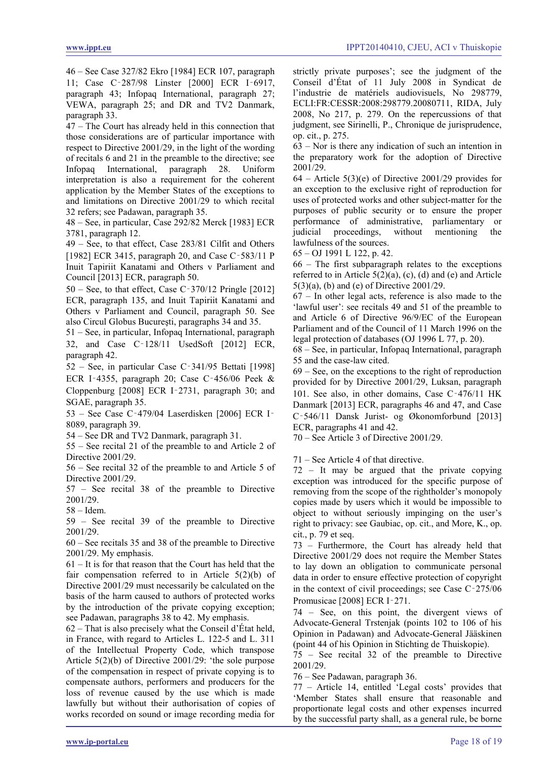46 – See Case 327/82 Ekro [1984] ECR 107, paragraph 11; Case C‑287/98 Linster [2000] ECR I‑6917, paragraph 43; Infopaq International, paragraph 27; VEWA, paragraph 25; and DR and TV2 Danmark, paragraph 33.

47 – The Court has already held in this connection that those considerations are of particular importance with respect to Directive 2001/29, in the light of the wording of recitals 6 and 21 in the preamble to the directive; see Infopaq International, paragraph 28. Uniform interpretation is also a requirement for the coherent application by the Member States of the exceptions to and limitations on Directive 2001/29 to which recital 32 refers; see Padawan, paragraph 35.

48 – See, in particular, Case 292/82 Merck [1983] ECR 3781, paragraph 12.

49 – See, to that effect, Case 283/81 Cilfit and Others [1982] ECR 3415, paragraph 20, and Case C-583/11 P Inuit Tapiriit Kanatami and Others v Parliament and Council [2013] ECR, paragraph 50.

 $50$  – See, to that effect, Case C $-370/12$  Pringle [2012] ECR, paragraph 135, and Inuit Tapiriit Kanatami and Others v Parliament and Council, paragraph 50. See also Circul Globus Bucureşti, paragraphs 34 and 35.

51 – See, in particular, Infopaq International, paragraph 32, and Case C‑128/11 UsedSoft [2012] ECR, paragraph 42.

52 – See, in particular Case C‑341/95 Bettati [1998] ECR I‑4355, paragraph 20; Case C‑456/06 Peek & Cloppenburg [2008] ECR I‑2731, paragraph 30; and SGAE, paragraph 35.

53 – See Case C‑479/04 Laserdisken [2006] ECR I‑ 8089, paragraph 39.

54 – See DR and TV2 Danmark, paragraph 31.

55 – See recital 21 of the preamble to and Article 2 of Directive 2001/29.

56 – See recital 32 of the preamble to and Article 5 of Directive 2001/29.

57 – See recital 38 of the preamble to Directive 2001/29.

58 – Idem.

59 – See recital 39 of the preamble to Directive 2001/29.

60 – See recitals 35 and 38 of the preamble to Directive 2001/29. My emphasis.

61 – It is for that reason that the Court has held that the fair compensation referred to in Article 5(2)(b) of Directive 2001/29 must necessarily be calculated on the basis of the harm caused to authors of protected works by the introduction of the private copying exception; see Padawan, paragraphs 38 to 42. My emphasis.

62 – That is also precisely what the Conseil d'État held, in France, with regard to Articles L. 122-5 and L. 311 of the Intellectual Property Code, which transpose Article 5(2)(b) of Directive 2001/29: 'the sole purpose of the compensation in respect of private copying is to compensate authors, performers and producers for the loss of revenue caused by the use which is made lawfully but without their authorisation of copies of works recorded on sound or image recording media for strictly private purposes'; see the judgment of the Conseil d'État of 11 July 2008 in Syndicat de l'industrie de matériels audiovisuels, No 298779, ECLI:FR:CESSR:2008:298779.20080711, RIDA, July 2008, No 217, p. 279. On the repercussions of that judgment, see Sirinelli, P., Chronique de jurisprudence, op. cit., p. 275.

63 – Nor is there any indication of such an intention in the preparatory work for the adoption of Directive 2001/29.

 $64$  – Article  $5(3)(e)$  of Directive 2001/29 provides for an exception to the exclusive right of reproduction for uses of protected works and other subject-matter for the purposes of public security or to ensure the proper performance of administrative, parliamentary or judicial proceedings, without mentioning the lawfulness of the sources.

65 – OJ 1991 L 122, p. 42.

66 – The first subparagraph relates to the exceptions referred to in Article  $5(2)(a)$ , (c), (d) and (e) and Article 5(3)(a), (b) and (e) of Directive 2001/29.

67 – In other legal acts, reference is also made to the 'lawful user': see recitals 49 and 51 of the preamble to and Article 6 of Directive 96/9/EC of the European Parliament and of the Council of 11 March 1996 on the legal protection of databases (OJ 1996 L 77, p. 20).

68 – See, in particular, Infopaq International, paragraph 55 and the case-law cited.

69 – See, on the exceptions to the right of reproduction provided for by Directive 2001/29, Luksan, paragraph 101. See also, in other domains, Case C‑476/11 HK Danmark [2013] ECR, paragraphs 46 and 47, and Case C‑546/11 Dansk Jurist- og Økonomforbund [2013] ECR, paragraphs 41 and 42.

70 – See Article 3 of Directive 2001/29.

71 – See Article 4 of that directive.

72 – It may be argued that the private copying exception was introduced for the specific purpose of removing from the scope of the rightholder's monopoly copies made by users which it would be impossible to object to without seriously impinging on the user's right to privacy: see Gaubiac, op. cit., and More, K., op. cit., p. 79 et seq.

73 – Furthermore, the Court has already held that Directive 2001/29 does not require the Member States to lay down an obligation to communicate personal data in order to ensure effective protection of copyright in the context of civil proceedings; see Case C‑275/06 Promusicae [2008] ECR I‑271.

74 – See, on this point, the divergent views of Advocate-General Trstenjak (points 102 to 106 of his Opinion in Padawan) and Advocate-General Jääskinen (point 44 of his Opinion in Stichting de Thuiskopie).

75 – See recital 32 of the preamble to Directive 2001/29.

76 – See Padawan, paragraph 36.

77 – Article 14, entitled 'Legal costs' provides that 'Member States shall ensure that reasonable and proportionate legal costs and other expenses incurred by the successful party shall, as a general rule, be borne